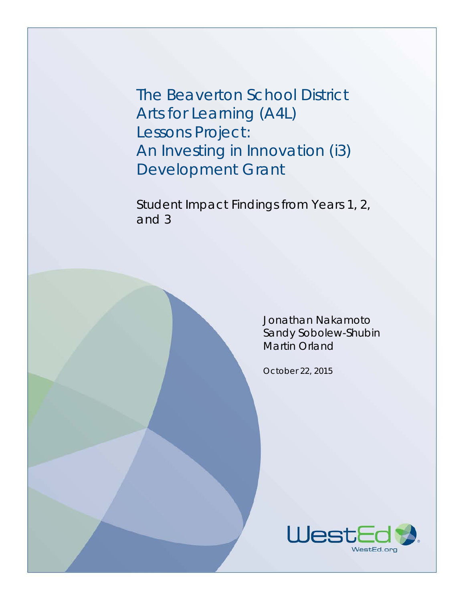The Beaverton School District Arts for Learning (A4L) Lessons Project: An Investing in Innovation (i3) Development Grant

Student Impact Findings from Years 1, 2, and 3

> Jonathan Nakamoto Sandy Sobolew-Shubin Martin Orland

October 22, 2015

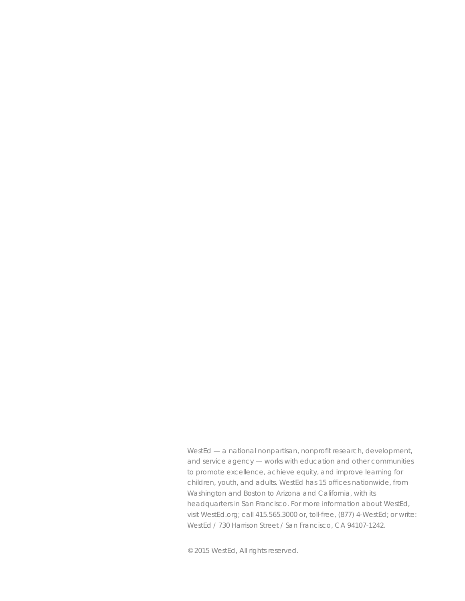WestEd — a national nonpartisan, nonprofit research, development, and service agency — works with education and other communities to promote excellence, achieve equity, and improve learning for children, youth, and adults. WestEd has 15 offices nationwide, from Washington and Boston to Arizona and California, with its headquarters in San Francisco. For more information about WestEd, visit WestEd.org; call 415.565.3000 or, toll-free, (877) 4-WestEd; or write: WestEd / 730 Harrison Street / San Francisco, CA 94107-1242.

© 2015 WestEd, All rights reserved.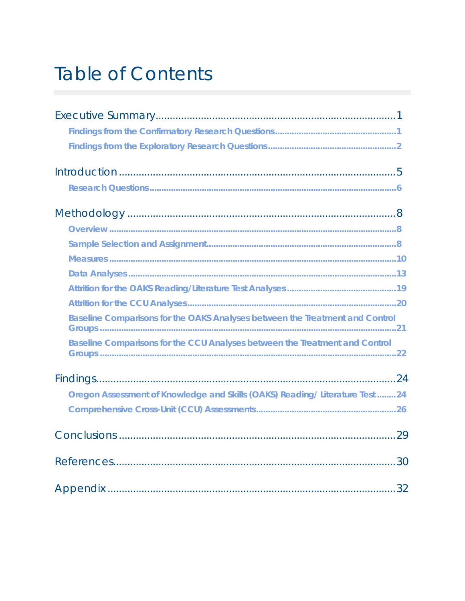# **Table of Contents**

| Baseline Comparisons for the OAKS Analyses between the Treatment and Control |  |
|------------------------------------------------------------------------------|--|
| Baseline Comparisons for the CCU Analyses between the Treatment and Control  |  |
|                                                                              |  |
| Oregon Assessment of Knowledge and Skills (OAKS) Reading/ Literature Test 24 |  |
|                                                                              |  |
|                                                                              |  |
|                                                                              |  |
|                                                                              |  |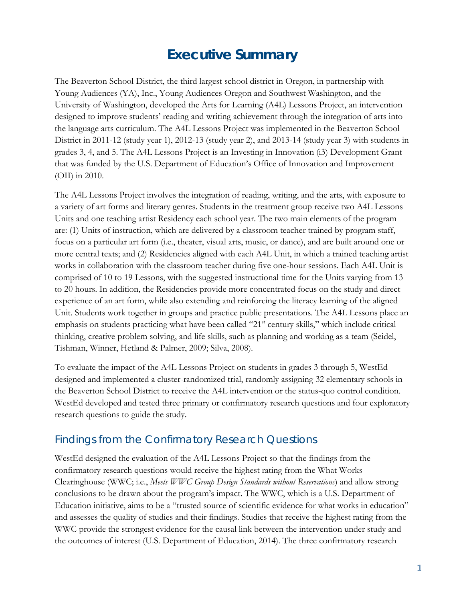## <span id="page-3-0"></span>**Executive Summary**

The Beaverton School District, the third largest school district in Oregon, in partnership with Young Audiences (YA), Inc., Young Audiences Oregon and Southwest Washington, and the University of Washington, developed the Arts for Learning (A4L) Lessons Project, an intervention designed to improve students' reading and writing achievement through the integration of arts into the language arts curriculum. The A4L Lessons Project was implemented in the Beaverton School District in 2011-12 (study year 1), 2012-13 (study year 2), and 2013-14 (study year 3) with students in grades 3, 4, and 5. The A4L Lessons Project is an Investing in Innovation (i3) Development Grant that was funded by the U.S. Department of Education's Office of Innovation and Improvement (OII) in 2010.

The A4L Lessons Project involves the integration of reading, writing, and the arts, with exposure to a variety of art forms and literary genres. Students in the treatment group receive two A4L Lessons Units and one teaching artist Residency each school year. The two main elements of the program are: (1) Units of instruction, which are delivered by a classroom teacher trained by program staff, focus on a particular art form (i.e., theater, visual arts, music, or dance), and are built around one or more central texts; and (2) Residencies aligned with each A4L Unit, in which a trained teaching artist works in collaboration with the classroom teacher during five one-hour sessions. Each A4L Unit is comprised of 10 to 19 Lessons, with the suggested instructional time for the Units varying from 13 to 20 hours. In addition, the Residencies provide more concentrated focus on the study and direct experience of an art form, while also extending and reinforcing the literacy learning of the aligned Unit. Students work together in groups and practice public presentations. The A4L Lessons place an emphasis on students practicing what have been called "21<sup>st</sup> century skills," which include critical thinking, creative problem solving, and life skills, such as planning and working as a team (Seidel, Tishman, Winner, Hetland & Palmer, 2009; Silva, 2008).

To evaluate the impact of the A4L Lessons Project on students in grades 3 through 5, WestEd designed and implemented a cluster-randomized trial, randomly assigning 32 elementary schools in the Beaverton School District to receive the A4L intervention or the status-quo control condition. WestEd developed and tested three primary or confirmatory research questions and four exploratory research questions to guide the study.

### <span id="page-3-1"></span>Findings from the Confirmatory Research Questions

WestEd designed the evaluation of the A4L Lessons Project so that the findings from the confirmatory research questions would receive the highest rating from the What Works Clearinghouse (WWC; i.e., *Meets WWC Group Design Standards without Reservations*) and allow strong conclusions to be drawn about the program's impact. The WWC, which is a U.S. Department of Education initiative, aims to be a "trusted source of scientific evidence for what works in education" and assesses the quality of studies and their findings. Studies that receive the highest rating from the WWC provide the strongest evidence for the causal link between the intervention under study and the outcomes of interest (U.S. Department of Education, 2014). The three confirmatory research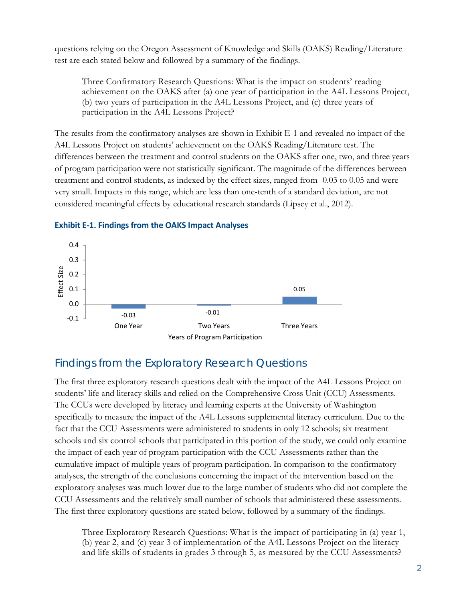questions relying on the Oregon Assessment of Knowledge and Skills (OAKS) Reading/Literature test are each stated below and followed by a summary of the findings.

Three Confirmatory Research Questions: What is the impact on students' reading achievement on the OAKS after (a) one year of participation in the A4L Lessons Project, (b) two years of participation in the A4L Lessons Project, and (c) three years of participation in the A4L Lessons Project?

The results from the confirmatory analyses are shown in Exhibit E-1 and revealed no impact of the A4L Lessons Project on students' achievement on the OAKS Reading/Literature test. The differences between the treatment and control students on the OAKS after one, two, and three years of program participation were not statistically significant. The magnitude of the differences between treatment and control students, as indexed by the effect sizes, ranged from -0.03 to 0.05 and were very small. Impacts in this range, which are less than one-tenth of a standard deviation, are not considered meaningful effects by educational research standards (Lipsey et al., 2012).



### **Exhibit E-1. Findings from the OAKS Impact Analyses**

### <span id="page-4-0"></span>Findings from the Exploratory Research Questions

The first three exploratory research questions dealt with the impact of the A4L Lessons Project on students' life and literacy skills and relied on the Comprehensive Cross Unit (CCU) Assessments. The CCUs were developed by literacy and learning experts at the University of Washington specifically to measure the impact of the A4L Lessons supplemental literacy curriculum. Due to the fact that the CCU Assessments were administered to students in only 12 schools; six treatment schools and six control schools that participated in this portion of the study, we could only examine the impact of each year of program participation with the CCU Assessments rather than the cumulative impact of multiple years of program participation. In comparison to the confirmatory analyses, the strength of the conclusions concerning the impact of the intervention based on the exploratory analyses was much lower due to the large number of students who did not complete the CCU Assessments and the relatively small number of schools that administered these assessments. The first three exploratory questions are stated below, followed by a summary of the findings.

Three Exploratory Research Questions: What is the impact of participating in (a) year 1, (b) year 2, and (c) year 3 of implementation of the A4L Lessons Project on the literacy and life skills of students in grades 3 through 5, as measured by the CCU Assessments?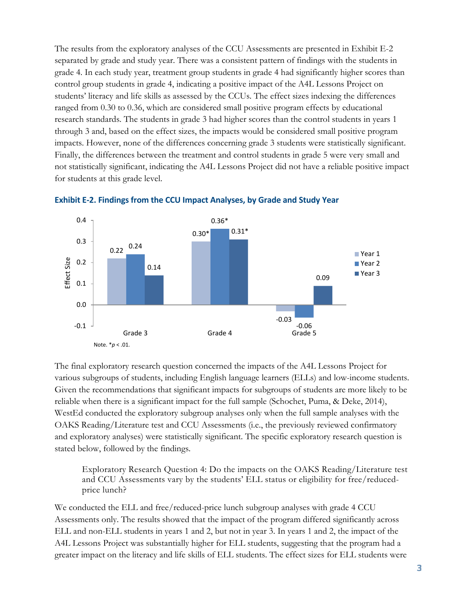The results from the exploratory analyses of the CCU Assessments are presented in Exhibit E-2 separated by grade and study year. There was a consistent pattern of findings with the students in grade 4. In each study year, treatment group students in grade 4 had significantly higher scores than control group students in grade 4, indicating a positive impact of the A4L Lessons Project on students' literacy and life skills as assessed by the CCUs. The effect sizes indexing the differences ranged from 0.30 to 0.36, which are considered small positive program effects by educational research standards. The students in grade 3 had higher scores than the control students in years 1 through 3 and, based on the effect sizes, the impacts would be considered small positive program impacts. However, none of the differences concerning grade 3 students were statistically significant. Finally, the differences between the treatment and control students in grade 5 were very small and not statistically significant, indicating the A4L Lessons Project did not have a reliable positive impact for students at this grade level.





The final exploratory research question concerned the impacts of the A4L Lessons Project for various subgroups of students, including English language learners (ELLs) and low-income students. Given the recommendations that significant impacts for subgroups of students are more likely to be reliable when there is a significant impact for the full sample (Schochet, Puma, & Deke, 2014), WestEd conducted the exploratory subgroup analyses only when the full sample analyses with the OAKS Reading/Literature test and CCU Assessments (i.e., the previously reviewed confirmatory and exploratory analyses) were statistically significant. The specific exploratory research question is stated below, followed by the findings.

Exploratory Research Question 4: Do the impacts on the OAKS Reading/Literature test and CCU Assessments vary by the students' ELL status or eligibility for free/reducedprice lunch?

We conducted the ELL and free/reduced-price lunch subgroup analyses with grade 4 CCU Assessments only. The results showed that the impact of the program differed significantly across ELL and non-ELL students in years 1 and 2, but not in year 3. In years 1 and 2, the impact of the A4L Lessons Project was substantially higher for ELL students, suggesting that the program had a greater impact on the literacy and life skills of ELL students. The effect sizes for ELL students were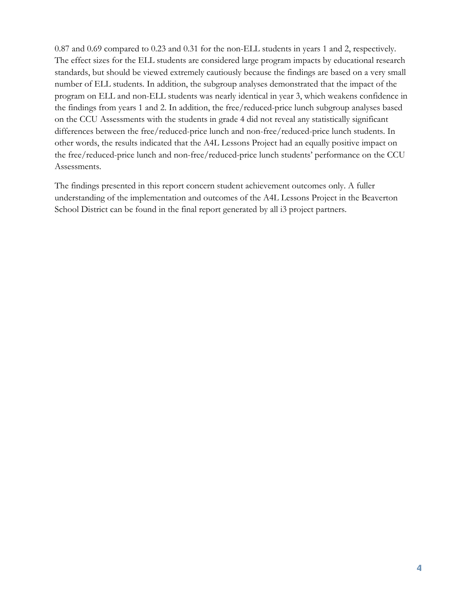0.87 and 0.69 compared to 0.23 and 0.31 for the non-ELL students in years 1 and 2, respectively. The effect sizes for the ELL students are considered large program impacts by educational research standards, but should be viewed extremely cautiously because the findings are based on a very small number of ELL students. In addition, the subgroup analyses demonstrated that the impact of the program on ELL and non-ELL students was nearly identical in year 3, which weakens confidence in the findings from years 1 and 2. In addition, the free/reduced-price lunch subgroup analyses based on the CCU Assessments with the students in grade 4 did not reveal any statistically significant differences between the free/reduced-price lunch and non-free/reduced-price lunch students. In other words, the results indicated that the A4L Lessons Project had an equally positive impact on the free/reduced-price lunch and non-free/reduced-price lunch students' performance on the CCU Assessments.

The findings presented in this report concern student achievement outcomes only. A fuller understanding of the implementation and outcomes of the A4L Lessons Project in the Beaverton School District can be found in the final report generated by all i3 project partners.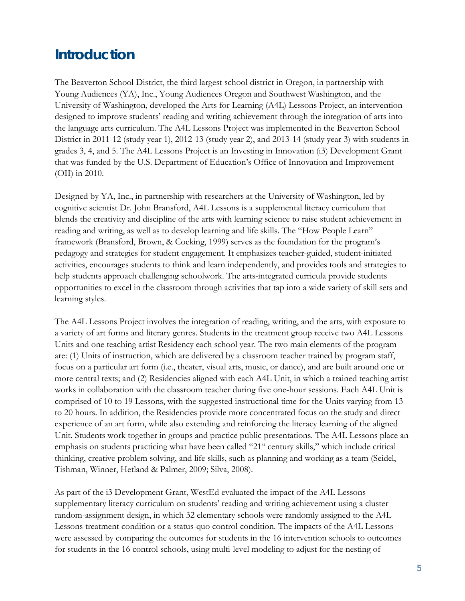## <span id="page-7-0"></span>**Introduction**

The Beaverton School District, the third largest school district in Oregon, in partnership with Young Audiences (YA), Inc., Young Audiences Oregon and Southwest Washington, and the University of Washington, developed the Arts for Learning (A4L) Lessons Project, an intervention designed to improve students' reading and writing achievement through the integration of arts into the language arts curriculum. The A4L Lessons Project was implemented in the Beaverton School District in 2011-12 (study year 1), 2012-13 (study year 2), and 2013-14 (study year 3) with students in grades 3, 4, and 5. The A4L Lessons Project is an Investing in Innovation (i3) Development Grant that was funded by the U.S. Department of Education's Office of Innovation and Improvement (OII) in 2010.

Designed by YA, Inc., in partnership with researchers at the University of Washington, led by cognitive scientist Dr. John Bransford, A4L Lessons is a supplemental literacy curriculum that blends the creativity and discipline of the arts with learning science to raise student achievement in reading and writing, as well as to develop learning and life skills. The "How People Learn" framework (Bransford, Brown, & Cocking, 1999) serves as the foundation for the program's pedagogy and strategies for student engagement. It emphasizes teacher-guided, student-initiated activities, encourages students to think and learn independently, and provides tools and strategies to help students approach challenging schoolwork. The arts-integrated curricula provide students opportunities to excel in the classroom through activities that tap into a wide variety of skill sets and learning styles.

The A4L Lessons Project involves the integration of reading, writing, and the arts, with exposure to a variety of art forms and literary genres. Students in the treatment group receive two A4L Lessons Units and one teaching artist Residency each school year. The two main elements of the program are: (1) Units of instruction, which are delivered by a classroom teacher trained by program staff, focus on a particular art form (i.e., theater, visual arts, music, or dance), and are built around one or more central texts; and (2) Residencies aligned with each A4L Unit, in which a trained teaching artist works in collaboration with the classroom teacher during five one-hour sessions. Each A4L Unit is comprised of 10 to 19 Lessons, with the suggested instructional time for the Units varying from 13 to 20 hours. In addition, the Residencies provide more concentrated focus on the study and direct experience of an art form, while also extending and reinforcing the literacy learning of the aligned Unit. Students work together in groups and practice public presentations. The A4L Lessons place an emphasis on students practicing what have been called "21<sup>st</sup> century skills," which include critical thinking, creative problem solving, and life skills, such as planning and working as a team (Seidel, Tishman, Winner, Hetland & Palmer, 2009; Silva, 2008).

As part of the i3 Development Grant, WestEd evaluated the impact of the A4L Lessons supplementary literacy curriculum on students' reading and writing achievement using a cluster random-assignment design, in which 32 elementary schools were randomly assigned to the A4L Lessons treatment condition or a status-quo control condition. The impacts of the A4L Lessons were assessed by comparing the outcomes for students in the 16 intervention schools to outcomes for students in the 16 control schools, using multi-level modeling to adjust for the nesting of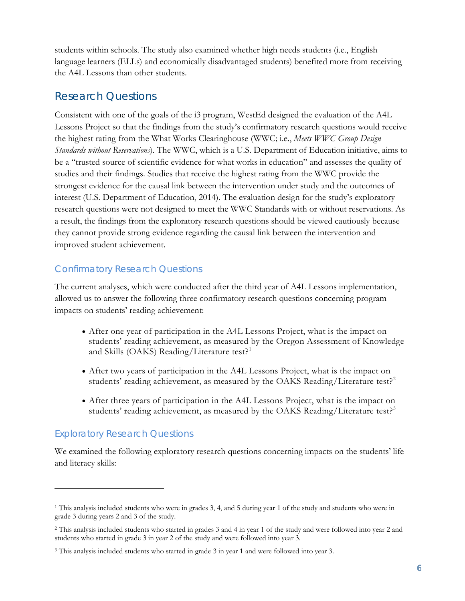students within schools. The study also examined whether high needs students (i.e., English language learners (ELLs) and economically disadvantaged students) benefited more from receiving the A4L Lessons than other students.

### <span id="page-8-0"></span>Research Questions

Consistent with one of the goals of the i3 program, WestEd designed the evaluation of the A4L Lessons Project so that the findings from the study's confirmatory research questions would receive the highest rating from the What Works Clearinghouse (WWC; i.e., *Meets WWC Group Design Standards without Reservations*). The WWC, which is a U.S. Department of Education initiative, aims to be a "trusted source of scientific evidence for what works in education" and assesses the quality of studies and their findings. Studies that receive the highest rating from the WWC provide the strongest evidence for the causal link between the intervention under study and the outcomes of interest (U.S. Department of Education, 2014). The evaluation design for the study's exploratory research questions were not designed to meet the WWC Standards with or without reservations. As a result, the findings from the exploratory research questions should be viewed cautiously because they cannot provide strong evidence regarding the causal link between the intervention and improved student achievement.

### Confirmatory Research Questions

The current analyses, which were conducted after the third year of A4L Lessons implementation, allowed us to answer the following three confirmatory research questions concerning program impacts on students' reading achievement:

- After one year of participation in the A4L Lessons Project, what is the impact on students' reading achievement, as measured by the Oregon Assessment of Knowledge and Skills (OAKS) Reading/Literature test?<sup>[1](#page-8-1)</sup>
- After two years of participation in the A4L Lessons Project, what is the impact on students' reading achievement, as measured by the OAKS Reading/Literature test?<sup>[2](#page-8-2)</sup>
- After three years of participation in the A4L Lessons Project, what is the impact on students' reading achievement, as measured by the OAKS Reading/Literature test?<sup>[3](#page-8-3)</sup>

### Exploratory Research Questions

 $\overline{a}$ 

We examined the following exploratory research questions concerning impacts on the students' life and literacy skills:

<span id="page-8-1"></span><sup>1</sup> This analysis included students who were in grades 3, 4, and 5 during year 1 of the study and students who were in grade 3 during years 2 and 3 of the study.

<span id="page-8-2"></span><sup>2</sup> This analysis included students who started in grades 3 and 4 in year 1 of the study and were followed into year 2 and students who started in grade 3 in year 2 of the study and were followed into year 3.

<span id="page-8-3"></span><sup>3</sup> This analysis included students who started in grade 3 in year 1 and were followed into year 3.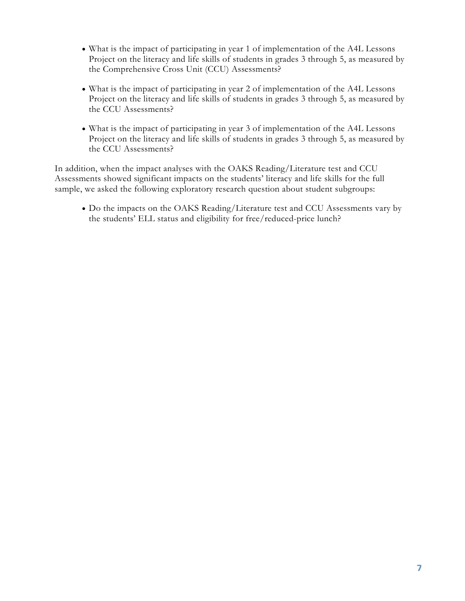- What is the impact of participating in year 1 of implementation of the A4L Lessons Project on the literacy and life skills of students in grades 3 through 5, as measured by the Comprehensive Cross Unit (CCU) Assessments?
- What is the impact of participating in year 2 of implementation of the A4L Lessons Project on the literacy and life skills of students in grades 3 through 5, as measured by the CCU Assessments?
- What is the impact of participating in year 3 of implementation of the A4L Lessons Project on the literacy and life skills of students in grades 3 through 5, as measured by the CCU Assessments?

In addition, when the impact analyses with the OAKS Reading/Literature test and CCU Assessments showed significant impacts on the students' literacy and life skills for the full sample, we asked the following exploratory research question about student subgroups:

• Do the impacts on the OAKS Reading/Literature test and CCU Assessments vary by the students' ELL status and eligibility for free/reduced-price lunch?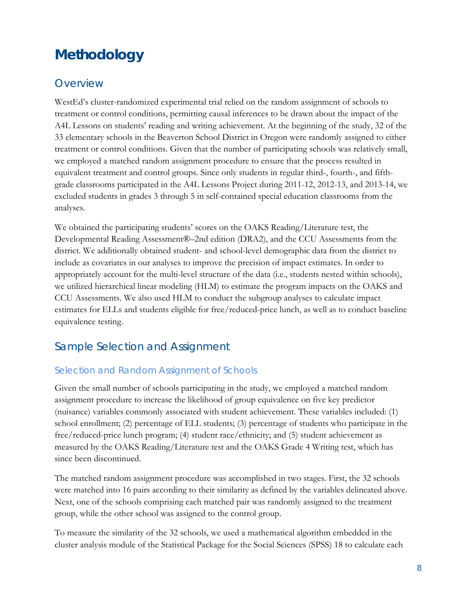## <span id="page-10-0"></span>**Methodology**

### <span id="page-10-1"></span>**Overview**

WestEd's cluster-randomized experimental trial relied on the random assignment of schools to treatment or control conditions, permitting causal inferences to be drawn about the impact of the A4L Lessons on students' reading and writing achievement. At the beginning of the study, 32 of the 33 elementary schools in the Beaverton School District in Oregon were randomly assigned to either treatment or control conditions. Given that the number of participating schools was relatively small, we employed a matched random assignment procedure to ensure that the process resulted in equivalent treatment and control groups. Since only students in regular third-, fourth-, and fifthgrade classrooms participated in the A4L Lessons Project during 2011-12, 2012-13, and 2013-14, we excluded students in grades 3 through 5 in self-contained special education classrooms from the analyses.

We obtained the participating students' scores on the OAKS Reading/Literature test, the Developmental Reading Assessment®–2nd edition (DRA2), and the CCU Assessments from the district. We additionally obtained student- and school-level demographic data from the district to include as covariates in our analyses to improve the precision of impact estimates. In order to appropriately account for the multi-level structure of the data (i.e., students nested within schools), we utilized hierarchical linear modeling (HLM) to estimate the program impacts on the OAKS and CCU Assessments. We also used HLM to conduct the subgroup analyses to calculate impact estimates for ELLs and students eligible for free/reduced-price lunch, as well as to conduct baseline equivalence testing.

### <span id="page-10-2"></span>Sample Selection and Assignment

### Selection and Random Assignment of Schools

Given the small number of schools participating in the study, we employed a matched random assignment procedure to increase the likelihood of group equivalence on five key predictor (nuisance) variables commonly associated with student achievement. These variables included: (1) school enrollment; (2) percentage of ELL students; (3) percentage of students who participate in the free/reduced-price lunch program; (4) student race/ethnicity; and (5) student achievement as measured by the OAKS Reading/Literature test and the OAKS Grade 4 Writing test, which has since been discontinued.

The matched random assignment procedure was accomplished in two stages. First, the 32 schools were matched into 16 pairs according to their similarity as defined by the variables delineated above. Next, one of the schools comprising each matched pair was randomly assigned to the treatment group, while the other school was assigned to the control group.

To measure the similarity of the 32 schools, we used a mathematical algorithm embedded in the cluster analysis module of the Statistical Package for the Social Sciences (SPSS) 18 to calculate each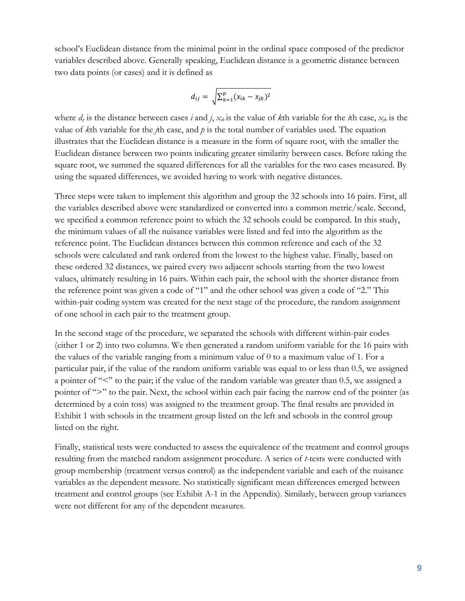school's Euclidean distance from the minimal point in the ordinal space composed of the predictor variables described above. Generally speaking, Euclidean distance is a geometric distance between two data points (or cases) and it is defined as

$$
d_{ij} = \sqrt{\sum_{k=1}^p (x_{ik} - x_{jk})^2}
$$

where  $d_{ij}$  is the distance between cases *i* and *j*,  $x_{ik}$  is the value of *k*th variable for the *i*th case,  $x_{jk}$  is the value of *k*th variable for the *j*th case, and *p* is the total number of variables used. The equation illustrates that the Euclidean distance is a measure in the form of square root, with the smaller the Euclidean distance between two points indicating greater similarity between cases. Before taking the square root, we summed the squared differences for all the variables for the two cases measured. By using the squared differences, we avoided having to work with negative distances.

Three steps were taken to implement this algorithm and group the 32 schools into 16 pairs. First, all the variables described above were standardized or converted into a common metric/scale. Second, we specified a common reference point to which the 32 schools could be compared. In this study, the minimum values of all the nuisance variables were listed and fed into the algorithm as the reference point. The Euclidean distances between this common reference and each of the 32 schools were calculated and rank ordered from the lowest to the highest value. Finally, based on these ordered 32 distances, we paired every two adjacent schools starting from the two lowest values, ultimately resulting in 16 pairs. Within each pair, the school with the shorter distance from the reference point was given a code of "1" and the other school was given a code of "2." This within-pair coding system was created for the next stage of the procedure, the random assignment of one school in each pair to the treatment group.

In the second stage of the procedure, we separated the schools with different within-pair codes (either 1 or 2) into two columns. We then generated a random uniform variable for the 16 pairs with the values of the variable ranging from a minimum value of 0 to a maximum value of 1. For a particular pair, if the value of the random uniform variable was equal to or less than 0.5, we assigned a pointer of "<" to the pair; if the value of the random variable was greater than 0.5, we assigned a pointer of ">" to the pair. Next, the school within each pair facing the narrow end of the pointer (as determined by a coin toss) was assigned to the treatment group. The final results are provided in Exhibit 1 with schools in the treatment group listed on the left and schools in the control group listed on the right.

Finally, statistical tests were conducted to assess the equivalence of the treatment and control groups resulting from the matched random assignment procedure. A series of *t*-tests were conducted with group membership (treatment versus control) as the independent variable and each of the nuisance variables as the dependent measure. No statistically significant mean differences emerged between treatment and control groups (see Exhibit A-1 in the Appendix). Similarly, between group variances were not different for any of the dependent measures.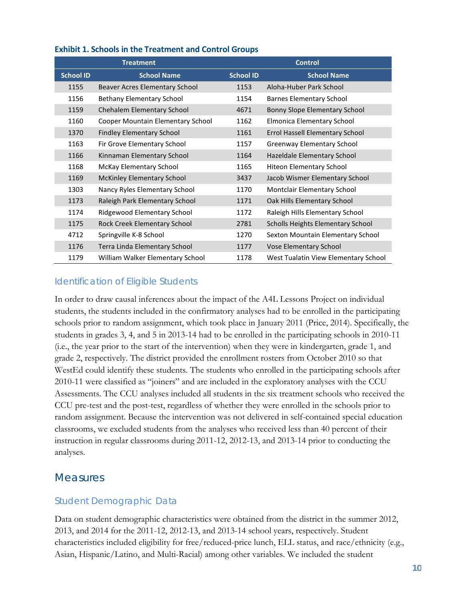|                  | <b>Treatment</b>                  |                  | <b>Control</b>                       |
|------------------|-----------------------------------|------------------|--------------------------------------|
| <b>School ID</b> | <b>School Name</b>                | <b>School ID</b> | <b>School Name</b>                   |
| 1155             | Beaver Acres Elementary School    | 1153             | Aloha-Huber Park School              |
| 1156             | Bethany Elementary School         | 1154             | <b>Barnes Elementary School</b>      |
| 1159             | <b>Chehalem Elementary School</b> | 4671             | Bonny Slope Elementary School        |
| 1160             | Cooper Mountain Elementary School | 1162             | Elmonica Elementary School           |
| 1370             | <b>Findley Elementary School</b>  | 1161             | Errol Hassell Elementary School      |
| 1163             | Fir Grove Elementary School       | 1157             | Greenway Elementary School           |
| 1166             | Kinnaman Elementary School        | 1164             | Hazeldale Elementary School          |
| 1168             | <b>McKay Elementary School</b>    | 1165             | <b>Hiteon Elementary School</b>      |
| 1169             | <b>McKinley Elementary School</b> | 3437             | Jacob Wismer Elementary School       |
| 1303             | Nancy Ryles Elementary School     | 1170             | Montclair Elementary School          |
| 1173             | Raleigh Park Elementary School    | 1171             | Oak Hills Elementary School          |
| 1174             | Ridgewood Elementary School       | 1172             | Raleigh Hills Elementary School      |
| 1175             | Rock Creek Elementary School      | 2781             | Scholls Heights Elementary School    |
| 4712             | Springville K-8 School            | 1270             | Sexton Mountain Elementary School    |
| 1176             | Terra Linda Elementary School     | 1177             | Vose Elementary School               |
| 1179             | William Walker Elementary School  | 1178             | West Tualatin View Elementary School |

#### **Exhibit 1. Schools in the Treatment and Control Groups**

### Identification of Eligible Students

In order to draw causal inferences about the impact of the A4L Lessons Project on individual students, the students included in the confirmatory analyses had to be enrolled in the participating schools prior to random assignment, which took place in January 2011 (Price, 2014). Specifically, the students in grades 3, 4, and 5 in 2013-14 had to be enrolled in the participating schools in 2010-11 (i.e., the year prior to the start of the intervention) when they were in kindergarten, grade 1, and grade 2, respectively. The district provided the enrollment rosters from October 2010 so that WestEd could identify these students. The students who enrolled in the participating schools after 2010-11 were classified as "joiners" and are included in the exploratory analyses with the CCU Assessments. The CCU analyses included all students in the six treatment schools who received the CCU pre-test and the post-test, regardless of whether they were enrolled in the schools prior to random assignment. Because the intervention was not delivered in self-contained special education classrooms, we excluded students from the analyses who received less than 40 percent of their instruction in regular classrooms during 2011-12, 2012-13, and 2013-14 prior to conducting the analyses.

### <span id="page-12-0"></span>**Measures**

### Student Demographic Data

Data on student demographic characteristics were obtained from the district in the summer 2012, 2013, and 2014 for the 2011-12, 2012-13, and 2013-14 school years, respectively. Student characteristics included eligibility for free/reduced-price lunch, ELL status, and race/ethnicity (e.g., Asian, Hispanic/Latino, and Multi-Racial) among other variables. We included the student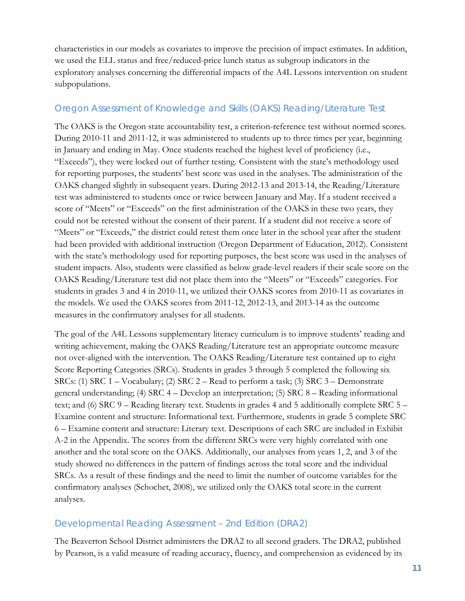characteristics in our models as covariates to improve the precision of impact estimates. In addition, we used the ELL status and free/reduced-price lunch status as subgroup indicators in the exploratory analyses concerning the differential impacts of the A4L Lessons intervention on student subpopulations.

### Oregon Assessment of Knowledge and Skills (OAKS) Reading/Literature Test

The OAKS is the Oregon state accountability test, a criterion-reference test without normed scores. During 2010-11 and 2011-12, it was administered to students up to three times per year, beginning in January and ending in May. Once students reached the highest level of proficiency (i.e., "Exceeds"), they were locked out of further testing. Consistent with the state's methodology used for reporting purposes, the students' best score was used in the analyses. The administration of the OAKS changed slightly in subsequent years. During 2012-13 and 2013-14, the Reading/Literature test was administered to students once or twice between January and May. If a student received a score of "Meets" or "Exceeds" on the first administration of the OAKS in these two years, they could not be retested without the consent of their parent. If a student did not receive a score of "Meets" or "Exceeds," the district could retest them once later in the school year after the student had been provided with additional instruction (Oregon Department of Education, 2012). Consistent with the state's methodology used for reporting purposes, the best score was used in the analyses of student impacts. Also, students were classified as below grade-level readers if their scale score on the OAKS Reading/Literature test did not place them into the "Meets" or "Exceeds" categories. For students in grades 3 and 4 in 2010-11, we utilized their OAKS scores from 2010-11 as covariates in the models. We used the OAKS scores from 2011-12, 2012-13, and 2013-14 as the outcome measures in the confirmatory analyses for all students.

The goal of the A4L Lessons supplementary literacy curriculum is to improve students' reading and writing achievement, making the OAKS Reading/Literature test an appropriate outcome measure not over-aligned with the intervention. The OAKS Reading/Literature test contained up to eight Score Reporting Categories (SRCs). Students in grades 3 through 5 completed the following six SRCs: (1) SRC 1 – Vocabulary; (2) SRC 2 – Read to perform a task; (3) SRC 3 – Demonstrate general understanding; (4) SRC 4 – Develop an interpretation; (5) SRC 8 – Reading informational text; and (6) SRC 9 – Reading literary text. Students in grades 4 and 5 additionally complete SRC 5 – Examine content and structure: Informational text. Furthermore, students in grade 5 complete SRC 6 – Examine content and structure: Literary text. Descriptions of each SRC are included in Exhibit A-2 in the Appendix. The scores from the different SRCs were very highly correlated with one another and the total score on the OAKS. Additionally, our analyses from years 1, 2, and 3 of the study showed no differences in the pattern of findings across the total score and the individual SRCs. As a result of these findings and the need to limit the number of outcome variables for the confirmatory analyses (Schochet, 2008), we utilized only the OAKS total score in the current analyses.

### Developmental Reading Assessment – 2nd Edition (DRA2)

The Beaverton School District administers the DRA2 to all second graders. The DRA2, published by Pearson, is a valid measure of reading accuracy, fluency, and comprehension as evidenced by its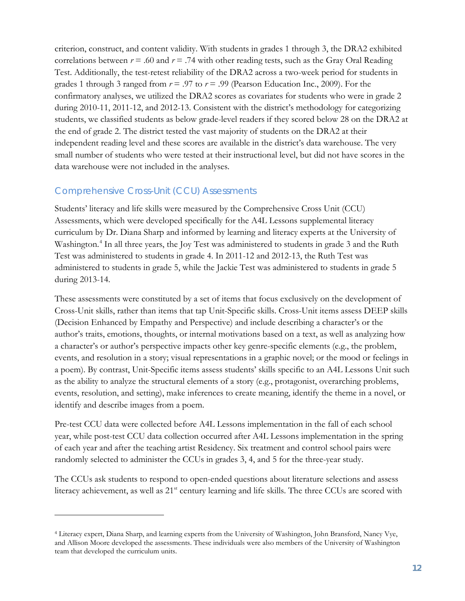criterion, construct, and content validity. With students in grades 1 through 3, the DRA2 exhibited correlations between  $r = .60$  and  $r = .74$  with other reading tests, such as the Gray Oral Reading Test. Additionally, the test-retest reliability of the DRA2 across a two-week period for students in grades 1 through 3 ranged from  $r = .97$  to  $r = .99$  (Pearson Education Inc., 2009). For the confirmatory analyses, we utilized the DRA2 scores as covariates for students who were in grade 2 during 2010-11, 2011-12, and 2012-13. Consistent with the district's methodology for categorizing students, we classified students as below grade-level readers if they scored below 28 on the DRA2 at the end of grade 2. The district tested the vast majority of students on the DRA2 at their independent reading level and these scores are available in the district's data warehouse. The very small number of students who were tested at their instructional level, but did not have scores in the data warehouse were not included in the analyses.

### Comprehensive Cross-Unit (CCU) Assessments

 $\overline{a}$ 

Students' literacy and life skills were measured by the Comprehensive Cross Unit (CCU) Assessments, which were developed specifically for the A4L Lessons supplemental literacy curriculum by Dr. Diana Sharp and informed by learning and literacy experts at the University of Washington. [4](#page-14-0) In all three years, the Joy Test was administered to students in grade 3 and the Ruth Test was administered to students in grade 4. In 2011-12 and 2012-13, the Ruth Test was administered to students in grade 5, while the Jackie Test was administered to students in grade 5 during 2013-14.

These assessments were constituted by a set of items that focus exclusively on the development of Cross-Unit skills, rather than items that tap Unit-Specific skills. Cross-Unit items assess DEEP skills (Decision Enhanced by Empathy and Perspective) and include describing a character's or the author's traits, emotions, thoughts, or internal motivations based on a text, as well as analyzing how a character's or author's perspective impacts other key genre-specific elements (e.g., the problem, events, and resolution in a story; visual representations in a graphic novel; or the mood or feelings in a poem). By contrast, Unit-Specific items assess students' skills specific to an A4L Lessons Unit such as the ability to analyze the structural elements of a story (e.g., protagonist, overarching problems, events, resolution, and setting), make inferences to create meaning, identify the theme in a novel, or identify and describe images from a poem.

Pre-test CCU data were collected before A4L Lessons implementation in the fall of each school year, while post-test CCU data collection occurred after A4L Lessons implementation in the spring of each year and after the teaching artist Residency. Six treatment and control school pairs were randomly selected to administer the CCUs in grades 3, 4, and 5 for the three-year study.

The CCUs ask students to respond to open-ended questions about literature selections and assess literacy achievement, as well as 21<sup>st</sup> century learning and life skills. The three CCUs are scored with

<span id="page-14-0"></span><sup>4</sup> Literacy expert, Diana Sharp, and learning experts from the University of Washington, John Bransford, Nancy Vye, and Allison Moore developed the assessments. These individuals were also members of the University of Washington team that developed the curriculum units.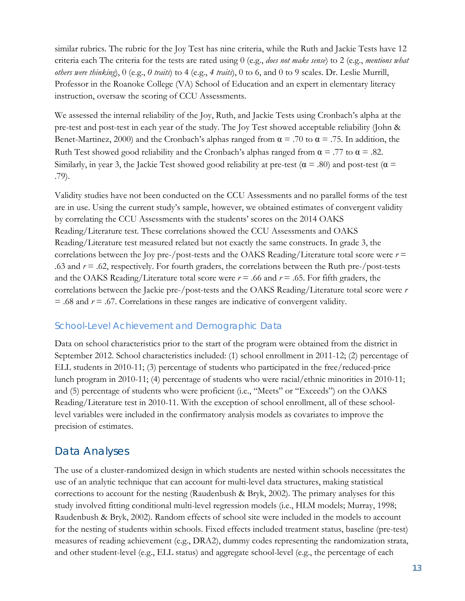similar rubrics. The rubric for the Joy Test has nine criteria, while the Ruth and Jackie Tests have 12 criteria each The criteria for the tests are rated using 0 (e.g., *does not make sense*) to 2 (e.g., *mentions what others were thinking*), 0 (e.g., *0 traits*) to 4 (e.g., *4 traits*), 0 to 6, and 0 to 9 scales. Dr. Leslie Murrill, Professor in the Roanoke College (VA) School of Education and an expert in elementary literacy instruction, oversaw the scoring of CCU Assessments.

We assessed the internal reliability of the Joy, Ruth, and Jackie Tests using Cronbach's alpha at the pre-test and post-test in each year of the study. The Joy Test showed acceptable reliability (John & Benet-Martinez, 2000) and the Cronbach's alphas ranged from  $\alpha = .70$  to  $\alpha = .75$ . In addition, the Ruth Test showed good reliability and the Cronbach's alphas ranged from  $\alpha = .77$  to  $\alpha = .82$ . Similarly, in year 3, the Jackie Test showed good reliability at pre-test ( $\alpha$  = .80) and post-test ( $\alpha$  = .79).

Validity studies have not been conducted on the CCU Assessments and no parallel forms of the test are in use. Using the current study's sample, however, we obtained estimates of convergent validity by correlating the CCU Assessments with the students' scores on the 2014 OAKS Reading/Literature test. These correlations showed the CCU Assessments and OAKS Reading/Literature test measured related but not exactly the same constructs. In grade 3, the correlations between the Joy pre-/post-tests and the OAKS Reading/Literature total score were  $r =$ .63 and *r* = .62, respectively. For fourth graders, the correlations between the Ruth pre-/post-tests and the OAKS Reading/Literature total score were  $r = .66$  and  $r = .65$ . For fifth graders, the correlations between the Jackie pre-/post-tests and the OAKS Reading/Literature total score were *r* = .68 and *r* = .67. Correlations in these ranges are indicative of convergent validity.

#### School-Level Achievement and Demographic Data

Data on school characteristics prior to the start of the program were obtained from the district in September 2012. School characteristics included: (1) school enrollment in 2011-12; (2) percentage of ELL students in 2010-11; (3) percentage of students who participated in the free/reduced-price lunch program in 2010-11; (4) percentage of students who were racial/ethnic minorities in 2010-11; and (5) percentage of students who were proficient (i.e., "Meets" or "Exceeds") on the OAKS Reading/Literature test in 2010-11. With the exception of school enrollment, all of these schoollevel variables were included in the confirmatory analysis models as covariates to improve the precision of estimates.

### <span id="page-15-0"></span>Data Analyses

The use of a cluster-randomized design in which students are nested within schools necessitates the use of an analytic technique that can account for multi-level data structures, making statistical corrections to account for the nesting (Raudenbush & Bryk, 2002). The primary analyses for this study involved fitting conditional multi-level regression models (i.e., HLM models; Murray, 1998; Raudenbush & Bryk, 2002). Random effects of school site were included in the models to account for the nesting of students within schools. Fixed effects included treatment status, baseline (pre-test) measures of reading achievement (e.g., DRA2), dummy codes representing the randomization strata, and other student-level (e.g., ELL status) and aggregate school-level (e.g., the percentage of each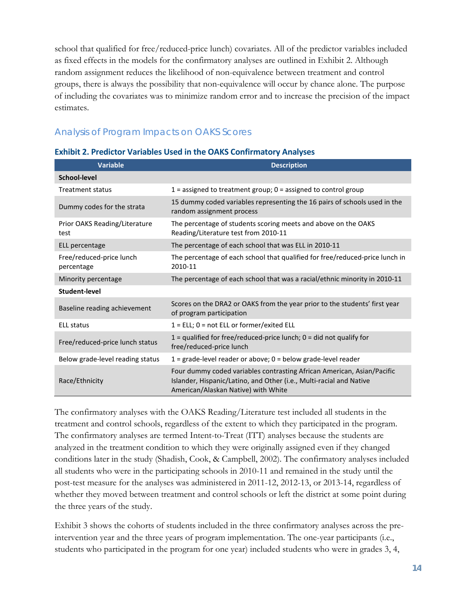school that qualified for free/reduced-price lunch) covariates. All of the predictor variables included as fixed effects in the models for the confirmatory analyses are outlined in Exhibit 2. Although random assignment reduces the likelihood of non-equivalence between treatment and control groups, there is always the possibility that non-equivalence will occur by chance alone. The purpose of including the covariates was to minimize random error and to increase the precision of the impact estimates.

### Analysis of Program Impacts on OAKS Scores

| <b>Variable</b>                        | <b>Description</b>                                                                                                                                                                   |
|----------------------------------------|--------------------------------------------------------------------------------------------------------------------------------------------------------------------------------------|
| School-level                           |                                                                                                                                                                                      |
| <b>Treatment status</b>                | 1 = assigned to treatment group; $0 =$ assigned to control group                                                                                                                     |
| Dummy codes for the strata             | 15 dummy coded variables representing the 16 pairs of schools used in the<br>random assignment process                                                                               |
| Prior OAKS Reading/Literature<br>test  | The percentage of students scoring meets and above on the OAKS<br>Reading/Literature test from 2010-11                                                                               |
| ELL percentage                         | The percentage of each school that was ELL in 2010-11                                                                                                                                |
| Free/reduced-price lunch<br>percentage | The percentage of each school that qualified for free/reduced-price lunch in<br>2010-11                                                                                              |
| Minority percentage                    | The percentage of each school that was a racial/ethnic minority in 2010-11                                                                                                           |
| Student-level                          |                                                                                                                                                                                      |
| Baseline reading achievement           | Scores on the DRA2 or OAKS from the year prior to the students' first year<br>of program participation                                                                               |
| <b>ELL status</b>                      | $1 = ELL$ ; 0 = not ELL or former/exited ELL                                                                                                                                         |
| Free/reduced-price lunch status        | $1$ = qualified for free/reduced-price lunch; $0$ = did not qualify for<br>free/reduced-price lunch                                                                                  |
| Below grade-level reading status       | $1 =$ grade-level reader or above; $0 =$ below grade-level reader                                                                                                                    |
| Race/Ethnicity                         | Four dummy coded variables contrasting African American, Asian/Pacific<br>Islander, Hispanic/Latino, and Other (i.e., Multi-racial and Native<br>American/Alaskan Native) with White |

#### **Exhibit 2. Predictor Variables Used in the OAKS Confirmatory Analyses**

The confirmatory analyses with the OAKS Reading/Literature test included all students in the treatment and control schools, regardless of the extent to which they participated in the program. The confirmatory analyses are termed Intent-to-Treat (ITT) analyses because the students are analyzed in the treatment condition to which they were originally assigned even if they changed conditions later in the study (Shadish, Cook, & Campbell, 2002). The confirmatory analyses included all students who were in the participating schools in 2010-11 and remained in the study until the post-test measure for the analyses was administered in 2011-12, 2012-13, or 2013-14, regardless of whether they moved between treatment and control schools or left the district at some point during the three years of the study.

Exhibit 3 shows the cohorts of students included in the three confirmatory analyses across the preintervention year and the three years of program implementation. The one-year participants (i.e., students who participated in the program for one year) included students who were in grades 3, 4,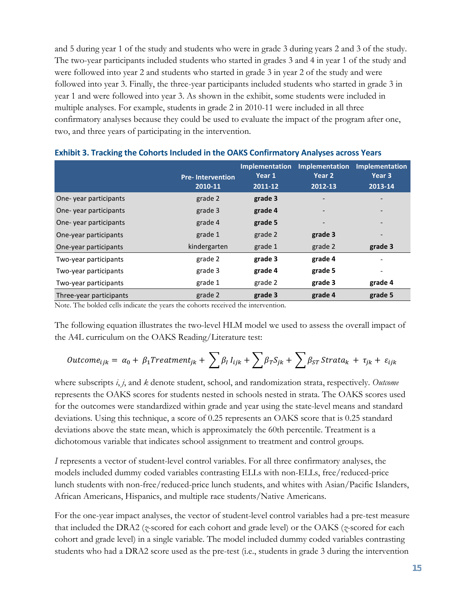and 5 during year 1 of the study and students who were in grade 3 during years 2 and 3 of the study. The two-year participants included students who started in grades 3 and 4 in year 1 of the study and were followed into year 2 and students who started in grade 3 in year 2 of the study and were followed into year 3. Finally, the three-year participants included students who started in grade 3 in year 1 and were followed into year 3. As shown in the exhibit, some students were included in multiple analyses. For example, students in grade 2 in 2010-11 were included in all three confirmatory analyses because they could be used to evaluate the impact of the program after one, two, and three years of participating in the intervention.

|                         | <b>Pre-Intervention</b><br>2010-11 | <b>Implementation</b><br>Year 1<br>2011-12 | <b>Implementation</b><br>Year <sub>2</sub><br>2012-13 | <b>Implementation</b><br>Year 3<br>2013-14 |
|-------------------------|------------------------------------|--------------------------------------------|-------------------------------------------------------|--------------------------------------------|
| One-year participants   | grade 2                            | grade 3                                    | $\overline{\phantom{a}}$                              |                                            |
| One-year participants   | grade 3                            | grade 4                                    | $\overline{a}$                                        |                                            |
| One-year participants   | grade 4                            | grade 5                                    | $\qquad \qquad$                                       |                                            |
| One-year participants   | grade 1                            | grade 2                                    | grade 3                                               | $\overline{\phantom{a}}$                   |
| One-year participants   | kindergarten                       | grade 1                                    | grade 2                                               | grade 3                                    |
| Two-year participants   | grade 2                            | grade 3                                    | grade 4                                               |                                            |
| Two-year participants   | grade 3                            | grade 4                                    | grade 5                                               | $\overline{\phantom{a}}$                   |
| Two-year participants   | grade 1                            | grade 2                                    | grade 3                                               | grade 4                                    |
| Three-year participants | grade 2                            | grade 3                                    | grade 4                                               | grade 5                                    |

|  |  | Exhibit 3. Tracking the Cohorts Included in the OAKS Confirmatory Analyses across Years |  |
|--|--|-----------------------------------------------------------------------------------------|--|
|--|--|-----------------------------------------------------------------------------------------|--|

Note. The bolded cells indicate the years the cohorts received the intervention.

The following equation illustrates the two-level HLM model we used to assess the overall impact of the A4L curriculum on the OAKS Reading/Literature test:

$$
Outcome_{ijk} = \alpha_0 + \beta_1 Treatment_{jk} + \sum \beta_l I_{ijk} + \sum \beta_T S_{jk} + \sum \beta_{ST} Strat_{ik} + \tau_{jk} + \varepsilon_{ijk}
$$

where subscripts *i*, *j*, and *k* denote student, school, and randomization strata, respectively. *Outcome* represents the OAKS scores for students nested in schools nested in strata. The OAKS scores used for the outcomes were standardized within grade and year using the state-level means and standard deviations. Using this technique, a score of 0.25 represents an OAKS score that is 0.25 standard deviations above the state mean, which is approximately the 60th percentile. Treatment is a dichotomous variable that indicates school assignment to treatment and control groups.

*I* represents a vector of student-level control variables. For all three confirmatory analyses, the models included dummy coded variables contrasting ELLs with non-ELLs, free/reduced-price lunch students with non-free/reduced-price lunch students, and whites with Asian/Pacific Islanders, African Americans, Hispanics, and multiple race students/Native Americans.

For the one-year impact analyses, the vector of student-level control variables had a pre-test measure that included the DRA2 (*z*-scored for each cohort and grade level) or the OAKS (*z*-scored for each cohort and grade level) in a single variable. The model included dummy coded variables contrasting students who had a DRA2 score used as the pre-test (i.e., students in grade 3 during the intervention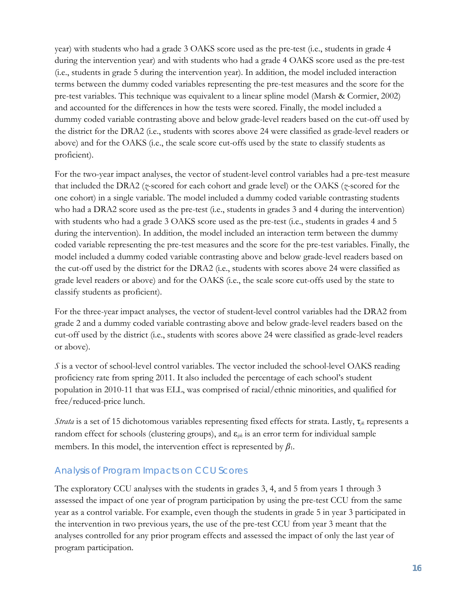year) with students who had a grade 3 OAKS score used as the pre-test (i.e., students in grade 4 during the intervention year) and with students who had a grade 4 OAKS score used as the pre-test (i.e., students in grade 5 during the intervention year). In addition, the model included interaction terms between the dummy coded variables representing the pre-test measures and the score for the pre-test variables. This technique was equivalent to a linear spline model (Marsh & Cormier, 2002) and accounted for the differences in how the tests were scored. Finally, the model included a dummy coded variable contrasting above and below grade-level readers based on the cut-off used by the district for the DRA2 (i.e., students with scores above 24 were classified as grade-level readers or above) and for the OAKS (i.e., the scale score cut-offs used by the state to classify students as proficient).

For the two-year impact analyses, the vector of student-level control variables had a pre-test measure that included the DRA2 (*z*-scored for each cohort and grade level) or the OAKS (*z*-scored for the one cohort) in a single variable. The model included a dummy coded variable contrasting students who had a DRA2 score used as the pre-test (i.e., students in grades 3 and 4 during the intervention) with students who had a grade 3 OAKS score used as the pre-test (i.e., students in grades 4 and 5 during the intervention). In addition, the model included an interaction term between the dummy coded variable representing the pre-test measures and the score for the pre-test variables. Finally, the model included a dummy coded variable contrasting above and below grade-level readers based on the cut-off used by the district for the DRA2 (i.e., students with scores above 24 were classified as grade level readers or above) and for the OAKS (i.e., the scale score cut-offs used by the state to classify students as proficient).

For the three-year impact analyses, the vector of student-level control variables had the DRA2 from grade 2 and a dummy coded variable contrasting above and below grade-level readers based on the cut-off used by the district (i.e., students with scores above 24 were classified as grade-level readers or above).

*S* is a vector of school-level control variables. The vector included the school-level OAKS reading proficiency rate from spring 2011. It also included the percentage of each school's student population in 2010-11 that was ELL, was comprised of racial/ethnic minorities, and qualified for free/reduced-price lunch.

*Strata* is a set of 15 dichotomous variables representing fixed effects for strata. Lastly, τ*jk* represents a random effect for schools (clustering groups), and ε*ijk* is an error term for individual sample members. In this model, the intervention effect is represented by  $\beta_1$ .

### Analysis of Program Impacts on CCU Scores

The exploratory CCU analyses with the students in grades 3, 4, and 5 from years 1 through 3 assessed the impact of one year of program participation by using the pre-test CCU from the same year as a control variable. For example, even though the students in grade 5 in year 3 participated in the intervention in two previous years, the use of the pre-test CCU from year 3 meant that the analyses controlled for any prior program effects and assessed the impact of only the last year of program participation.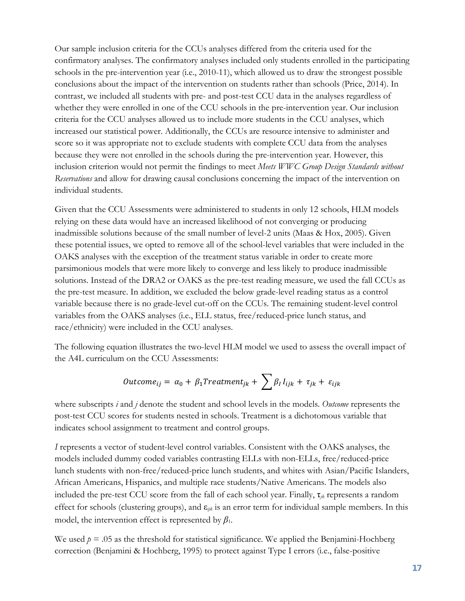Our sample inclusion criteria for the CCUs analyses differed from the criteria used for the confirmatory analyses. The confirmatory analyses included only students enrolled in the participating schools in the pre-intervention year (i.e., 2010-11), which allowed us to draw the strongest possible conclusions about the impact of the intervention on students rather than schools (Price, 2014). In contrast, we included all students with pre- and post-test CCU data in the analyses regardless of whether they were enrolled in one of the CCU schools in the pre-intervention year. Our inclusion criteria for the CCU analyses allowed us to include more students in the CCU analyses, which increased our statistical power. Additionally, the CCUs are resource intensive to administer and score so it was appropriate not to exclude students with complete CCU data from the analyses because they were not enrolled in the schools during the pre-intervention year. However, this inclusion criterion would not permit the findings to meet *Meets WWC Group Design Standards without Reservations* and allow for drawing causal conclusions concerning the impact of the intervention on individual students.

Given that the CCU Assessments were administered to students in only 12 schools, HLM models relying on these data would have an increased likelihood of not converging or producing inadmissible solutions because of the small number of level-2 units (Maas & Hox, 2005). Given these potential issues, we opted to remove all of the school-level variables that were included in the OAKS analyses with the exception of the treatment status variable in order to create more parsimonious models that were more likely to converge and less likely to produce inadmissible solutions. Instead of the DRA2 or OAKS as the pre-test reading measure, we used the fall CCUs as the pre-test measure. In addition, we excluded the below grade-level reading status as a control variable because there is no grade-level cut-off on the CCUs. The remaining student-level control variables from the OAKS analyses (i.e., ELL status, free/reduced-price lunch status, and race/ethnicity) were included in the CCU analyses.

The following equation illustrates the two-level HLM model we used to assess the overall impact of the A4L curriculum on the CCU Assessments:

$$
Outcome_{ij} = \alpha_0 + \beta_1 Treatment_{jk} + \sum \beta_l I_{ijk} + \tau_{jk} + \varepsilon_{ijk}
$$

where subscripts *i* and *j* denote the student and school levels in the models. *Outcome* represents the post-test CCU scores for students nested in schools. Treatment is a dichotomous variable that indicates school assignment to treatment and control groups.

*I* represents a vector of student-level control variables. Consistent with the OAKS analyses, the models included dummy coded variables contrasting ELLs with non-ELLs, free/reduced-price lunch students with non-free/reduced-price lunch students, and whites with Asian/Pacific Islanders, African Americans, Hispanics, and multiple race students/Native Americans. The models also included the pre-test CCU score from the fall of each school year. Finally, τ*jk* represents a random effect for schools (clustering groups), and ε*ijk* is an error term for individual sample members. In this model, the intervention effect is represented by  $\beta_1$ .

We used  $p = 0.05$  as the threshold for statistical significance. We applied the Benjamini-Hochberg correction (Benjamini & Hochberg, 1995) to protect against Type I errors (i.e., false-positive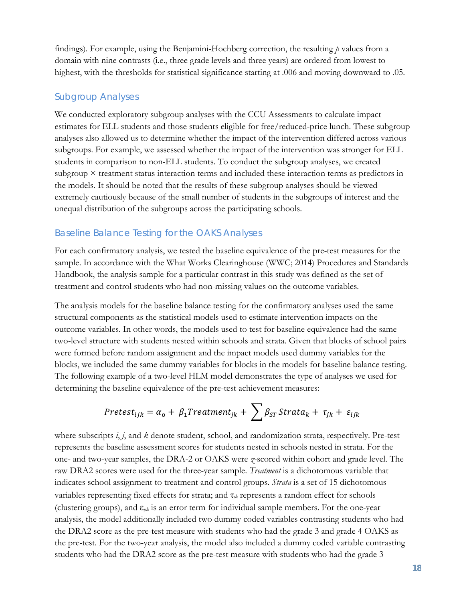findings). For example, using the Benjamini-Hochberg correction, the resulting *p* values from a domain with nine contrasts (i.e., three grade levels and three years) are ordered from lowest to highest, with the thresholds for statistical significance starting at .006 and moving downward to .05.

### Subgroup Analyses

We conducted exploratory subgroup analyses with the CCU Assessments to calculate impact estimates for ELL students and those students eligible for free/reduced-price lunch. These subgroup analyses also allowed us to determine whether the impact of the intervention differed across various subgroups. For example, we assessed whether the impact of the intervention was stronger for ELL students in comparison to non-ELL students. To conduct the subgroup analyses, we created subgroup × treatment status interaction terms and included these interaction terms as predictors in the models. It should be noted that the results of these subgroup analyses should be viewed extremely cautiously because of the small number of students in the subgroups of interest and the unequal distribution of the subgroups across the participating schools.

### Baseline Balance Testing for the OAKS Analyses

For each confirmatory analysis, we tested the baseline equivalence of the pre-test measures for the sample. In accordance with the What Works Clearinghouse (WWC; 2014) Procedures and Standards Handbook, the analysis sample for a particular contrast in this study was defined as the set of treatment and control students who had non-missing values on the outcome variables.

The analysis models for the baseline balance testing for the confirmatory analyses used the same structural components as the statistical models used to estimate intervention impacts on the outcome variables. In other words, the models used to test for baseline equivalence had the same two-level structure with students nested within schools and strata. Given that blocks of school pairs were formed before random assignment and the impact models used dummy variables for the blocks, we included the same dummy variables for blocks in the models for baseline balance testing. The following example of a two-level HLM model demonstrates the type of analyses we used for determining the baseline equivalence of the pre-test achievement measures:

$$
Pretest_{ijk} = \alpha_{o} + \beta_{1} Treatment_{jk} + \sum \beta_{ST} Strat_{k} + \tau_{jk} + \varepsilon_{ijk}
$$

where subscripts *i*, *j*, and *k* denote student, school, and randomization strata, respectively. Pre-test represents the baseline assessment scores for students nested in schools nested in strata. For the one- and two-year samples, the DRA-2 or OAKS were *z*-scored within cohort and grade level. The raw DRA2 scores were used for the three-year sample. *Treatment* is a dichotomous variable that indicates school assignment to treatment and control groups. *Strata* is a set of 15 dichotomous variables representing fixed effects for strata; and τ*jk* represents a random effect for schools (clustering groups), and ε*ijk* is an error term for individual sample members. For the one-year analysis, the model additionally included two dummy coded variables contrasting students who had the DRA2 score as the pre-test measure with students who had the grade 3 and grade 4 OAKS as the pre-test. For the two-year analysis, the model also included a dummy coded variable contrasting students who had the DRA2 score as the pre-test measure with students who had the grade 3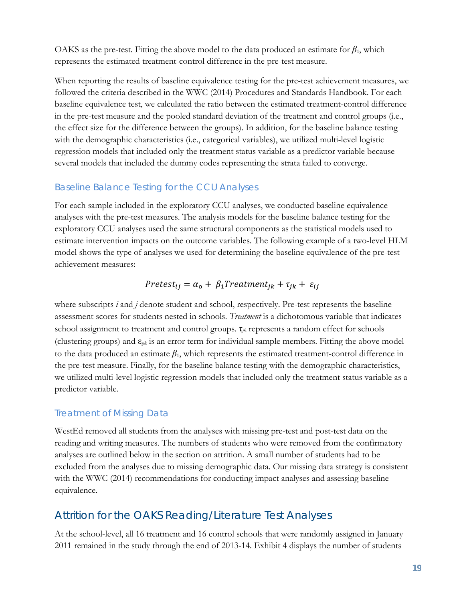OAKS as the pre-test. Fitting the above model to the data produced an estimate for  $\beta_1$ , which represents the estimated treatment-control difference in the pre-test measure.

When reporting the results of baseline equivalence testing for the pre-test achievement measures, we followed the criteria described in the WWC (2014) Procedures and Standards Handbook. For each baseline equivalence test, we calculated the ratio between the estimated treatment-control difference in the pre-test measure and the pooled standard deviation of the treatment and control groups (i.e., the effect size for the difference between the groups). In addition, for the baseline balance testing with the demographic characteristics (i.e., categorical variables), we utilized multi-level logistic regression models that included only the treatment status variable as a predictor variable because several models that included the dummy codes representing the strata failed to converge.

### Baseline Balance Testing for the CCU Analyses

For each sample included in the exploratory CCU analyses, we conducted baseline equivalence analyses with the pre-test measures. The analysis models for the baseline balance testing for the exploratory CCU analyses used the same structural components as the statistical models used to estimate intervention impacts on the outcome variables. The following example of a two-level HLM model shows the type of analyses we used for determining the baseline equivalence of the pre-test achievement measures:

### $Pretest_{ij} = \alpha_{o} + \beta_{1} Treatment_{jk} + \tau_{jk} + \varepsilon_{ij}$

where subscripts *i* and *j* denote student and school, respectively. Pre-test represents the baseline assessment scores for students nested in schools. *Treatment* is a dichotomous variable that indicates school assignment to treatment and control groups. τ*jk* represents a random effect for schools (clustering groups) and ε*ijk* is an error term for individual sample members. Fitting the above model to the data produced an estimate  $\beta_1$ , which represents the estimated treatment-control difference in the pre-test measure. Finally, for the baseline balance testing with the demographic characteristics, we utilized multi-level logistic regression models that included only the treatment status variable as a predictor variable.

### Treatment of Missing Data

WestEd removed all students from the analyses with missing pre-test and post-test data on the reading and writing measures. The numbers of students who were removed from the confirmatory analyses are outlined below in the section on attrition. A small number of students had to be excluded from the analyses due to missing demographic data. Our missing data strategy is consistent with the WWC (2014) recommendations for conducting impact analyses and assessing baseline equivalence.

### <span id="page-21-0"></span>Attrition for the OAKS Reading/Literature Test Analyses

At the school-level, all 16 treatment and 16 control schools that were randomly assigned in January 2011 remained in the study through the end of 2013-14. Exhibit 4 displays the number of students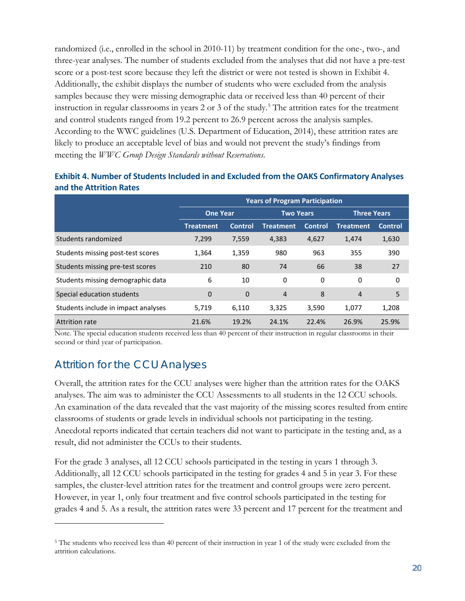randomized (i.e., enrolled in the school in 2010-11) by treatment condition for the one-, two-, and three-year analyses. The number of students excluded from the analyses that did not have a pre-test score or a post-test score because they left the district or were not tested is shown in Exhibit 4. Additionally, the exhibit displays the number of students who were excluded from the analysis samples because they were missing demographic data or received less than 40 percent of their instruction in regular classrooms in years 2 or 3 of the study.<sup>[5](#page-22-1)</sup> The attrition rates for the treatment and control students ranged from 19.2 percent to 26.9 percent across the analysis samples. According to the WWC guidelines (U.S. Department of Education, 2014), these attrition rates are likely to produce an acceptable level of bias and would not prevent the study's findings from meeting the *WWC Group Design Standards without Reservations*.

|                                     |                  |                | <b>Years of Program Participation</b> |         |                    |                |
|-------------------------------------|------------------|----------------|---------------------------------------|---------|--------------------|----------------|
|                                     | <b>One Year</b>  |                | <b>Two Years</b>                      |         | <b>Three Years</b> |                |
|                                     | <b>Treatment</b> | <b>Control</b> | <b>Treatment</b>                      | Control | <b>Treatment</b>   | <b>Control</b> |
| Students randomized                 | 7,299            | 7,559          | 4,383                                 | 4,627   | 1,474              | 1,630          |
| Students missing post-test scores   | 1,364            | 1,359          | 980                                   | 963     | 355                | 390            |
| Students missing pre-test scores    | 210              | 80             | 74                                    | 66      | 38                 | 27             |
| Students missing demographic data   | 6                | 10             | 0                                     | 0       | 0                  | 0              |
| Special education students          | $\overline{0}$   | $\mathbf 0$    | $\overline{4}$                        | 8       | 4                  | 5              |
| Students include in impact analyses | 5,719            | 6,110          | 3,325                                 | 3,590   | 1,077              | 1,208          |
| Attrition rate                      | 21.6%            | 19.2%          | 24.1%                                 | 22.4%   | 26.9%              | 25.9%          |

#### **Exhibit 4. Number of Students Included in and Excluded from the OAKS Confirmatory Analyses and the Attrition Rates**

Note. The special education students received less than 40 percent of their instruction in regular classrooms in their second or third year of participation.

### <span id="page-22-0"></span>Attrition for the CCU Analyses

 $\overline{a}$ 

Overall, the attrition rates for the CCU analyses were higher than the attrition rates for the OAKS analyses. The aim was to administer the CCU Assessments to all students in the 12 CCU schools. An examination of the data revealed that the vast majority of the missing scores resulted from entire classrooms of students or grade levels in individual schools not participating in the testing. Anecdotal reports indicated that certain teachers did not want to participate in the testing and, as a result, did not administer the CCUs to their students.

For the grade 3 analyses, all 12 CCU schools participated in the testing in years 1 through 3. Additionally, all 12 CCU schools participated in the testing for grades 4 and 5 in year 3. For these samples, the cluster-level attrition rates for the treatment and control groups were zero percent. However, in year 1, only four treatment and five control schools participated in the testing for grades 4 and 5. As a result, the attrition rates were 33 percent and 17 percent for the treatment and

<span id="page-22-1"></span><sup>&</sup>lt;sup>5</sup> The students who received less than 40 percent of their instruction in year 1 of the study were excluded from the attrition calculations.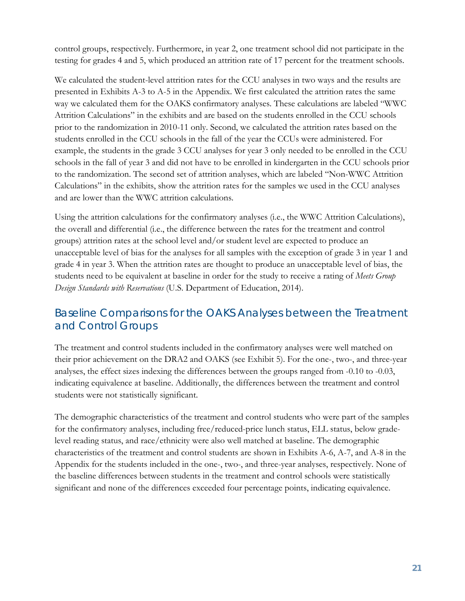control groups, respectively. Furthermore, in year 2, one treatment school did not participate in the testing for grades 4 and 5, which produced an attrition rate of 17 percent for the treatment schools.

We calculated the student-level attrition rates for the CCU analyses in two ways and the results are presented in Exhibits A-3 to A-5 in the Appendix. We first calculated the attrition rates the same way we calculated them for the OAKS confirmatory analyses. These calculations are labeled "WWC Attrition Calculations" in the exhibits and are based on the students enrolled in the CCU schools prior to the randomization in 2010-11 only. Second, we calculated the attrition rates based on the students enrolled in the CCU schools in the fall of the year the CCUs were administered. For example, the students in the grade 3 CCU analyses for year 3 only needed to be enrolled in the CCU schools in the fall of year 3 and did not have to be enrolled in kindergarten in the CCU schools prior to the randomization. The second set of attrition analyses, which are labeled "Non-WWC Attrition Calculations" in the exhibits, show the attrition rates for the samples we used in the CCU analyses and are lower than the WWC attrition calculations.

Using the attrition calculations for the confirmatory analyses (i.e., the WWC Attrition Calculations), the overall and differential (i.e., the difference between the rates for the treatment and control groups) attrition rates at the school level and/or student level are expected to produce an unacceptable level of bias for the analyses for all samples with the exception of grade 3 in year 1 and grade 4 in year 3. When the attrition rates are thought to produce an unacceptable level of bias, the students need to be equivalent at baseline in order for the study to receive a rating of *Meets Group Design Standards with Reservations* (U.S. Department of Education, 2014).

### <span id="page-23-0"></span>Baseline Comparisons for the OAKS Analyses between the Treatment and Control Groups

The treatment and control students included in the confirmatory analyses were well matched on their prior achievement on the DRA2 and OAKS (see Exhibit 5). For the one-, two-, and three-year analyses, the effect sizes indexing the differences between the groups ranged from -0.10 to -0.03, indicating equivalence at baseline. Additionally, the differences between the treatment and control students were not statistically significant.

The demographic characteristics of the treatment and control students who were part of the samples for the confirmatory analyses, including free/reduced-price lunch status, ELL status, below gradelevel reading status, and race/ethnicity were also well matched at baseline. The demographic characteristics of the treatment and control students are shown in Exhibits A-6, A-7, and A-8 in the Appendix for the students included in the one-, two-, and three-year analyses, respectively. None of the baseline differences between students in the treatment and control schools were statistically significant and none of the differences exceeded four percentage points, indicating equivalence.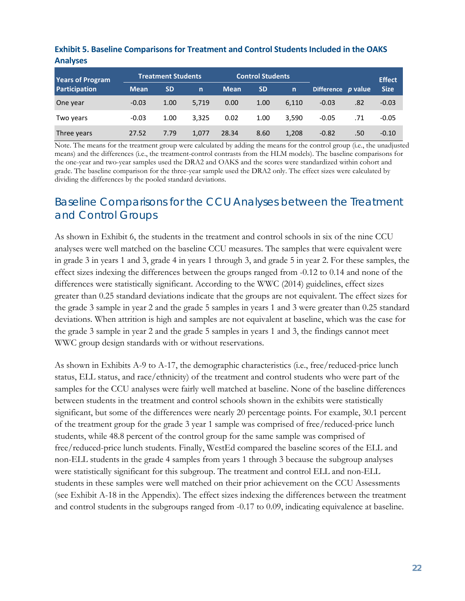| <b>Years of Program</b> | <b>Control Students</b><br><b>Treatment Students</b> |           |       |             |           |              |                    |        | <b>Effect</b> |
|-------------------------|------------------------------------------------------|-----------|-------|-------------|-----------|--------------|--------------------|--------|---------------|
| Participation           | <b>Mean</b>                                          | <b>SD</b> | n     | <b>Mean</b> | <b>SD</b> | $\mathsf{n}$ | Difference p value |        | <b>Size</b>   |
| One year                | $-0.03$                                              | 1.00      | 5.719 | 0.00        | 1.00      | 6.110        | $-0.03$            | .82    | $-0.03$       |
| Two years               | $-0.03$                                              | 1.00      | 3.325 | 0.02        | 1.00      | 3,590        | $-0.05$            | .71    | $-0.05$       |
| Three years             | 27.52                                                | 7.79      | 1.077 | 28.34       | 8.60      | 1,208        | $-0.82$            | $.50-$ | $-0.10$       |

**Exhibit 5. Baseline Comparisons for Treatment and Control Students Included in the OAKS Analyses**

Note. The means for the treatment group were calculated by adding the means for the control group (i.e., the unadjusted means) and the differences (i.e., the treatment-control contrasts from the HLM models). The baseline comparisons for the one-year and two-year samples used the DRA2 and OAKS and the scores were standardized within cohort and grade. The baseline comparison for the three-year sample used the DRA2 only. The effect sizes were calculated by dividing the differences by the pooled standard deviations.

### <span id="page-24-0"></span>Baseline Comparisons for the CCU Analyses between the Treatment and Control Groups

As shown in Exhibit 6, the students in the treatment and control schools in six of the nine CCU analyses were well matched on the baseline CCU measures. The samples that were equivalent were in grade 3 in years 1 and 3, grade 4 in years 1 through 3, and grade 5 in year 2. For these samples, the effect sizes indexing the differences between the groups ranged from -0.12 to 0.14 and none of the differences were statistically significant. According to the WWC (2014) guidelines, effect sizes greater than 0.25 standard deviations indicate that the groups are not equivalent. The effect sizes for the grade 3 sample in year 2 and the grade 5 samples in years 1 and 3 were greater than 0.25 standard deviations. When attrition is high and samples are not equivalent at baseline, which was the case for the grade 3 sample in year 2 and the grade 5 samples in years 1 and 3, the findings cannot meet WWC group design standards with or without reservations.

As shown in Exhibits A-9 to A-17, the demographic characteristics (i.e., free/reduced-price lunch status, ELL status, and race/ethnicity) of the treatment and control students who were part of the samples for the CCU analyses were fairly well matched at baseline. None of the baseline differences between students in the treatment and control schools shown in the exhibits were statistically significant, but some of the differences were nearly 20 percentage points. For example, 30.1 percent of the treatment group for the grade 3 year 1 sample was comprised of free/reduced-price lunch students, while 48.8 percent of the control group for the same sample was comprised of free/reduced-price lunch students. Finally, WestEd compared the baseline scores of the ELL and non-ELL students in the grade 4 samples from years 1 through 3 because the subgroup analyses were statistically significant for this subgroup. The treatment and control ELL and non-ELL students in these samples were well matched on their prior achievement on the CCU Assessments (see Exhibit A-18 in the Appendix). The effect sizes indexing the differences between the treatment and control students in the subgroups ranged from -0.17 to 0.09, indicating equivalence at baseline.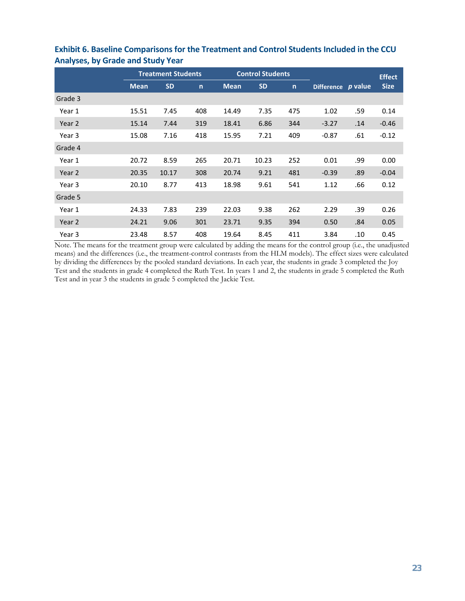|         | <b>Treatment Students</b> |           |              |             | <b>Control Students</b> |              | <b>Effect</b>     |         |             |
|---------|---------------------------|-----------|--------------|-------------|-------------------------|--------------|-------------------|---------|-------------|
|         | <b>Mean</b>               | <b>SD</b> | $\mathsf{n}$ | <b>Mean</b> | <b>SD</b>               | $\mathsf{n}$ | <b>Difference</b> | p value | <b>Size</b> |
| Grade 3 |                           |           |              |             |                         |              |                   |         |             |
| Year 1  | 15.51                     | 7.45      | 408          | 14.49       | 7.35                    | 475          | 1.02              | .59     | 0.14        |
| Year 2  | 15.14                     | 7.44      | 319          | 18.41       | 6.86                    | 344          | $-3.27$           | .14     | $-0.46$     |
| Year 3  | 15.08                     | 7.16      | 418          | 15.95       | 7.21                    | 409          | $-0.87$           | .61     | $-0.12$     |
| Grade 4 |                           |           |              |             |                         |              |                   |         |             |
| Year 1  | 20.72                     | 8.59      | 265          | 20.71       | 10.23                   | 252          | 0.01              | .99     | 0.00        |
| Year 2  | 20.35                     | 10.17     | 308          | 20.74       | 9.21                    | 481          | $-0.39$           | .89     | $-0.04$     |
| Year 3  | 20.10                     | 8.77      | 413          | 18.98       | 9.61                    | 541          | 1.12              | .66     | 0.12        |
| Grade 5 |                           |           |              |             |                         |              |                   |         |             |
| Year 1  | 24.33                     | 7.83      | 239          | 22.03       | 9.38                    | 262          | 2.29              | .39     | 0.26        |
| Year 2  | 24.21                     | 9.06      | 301          | 23.71       | 9.35                    | 394          | 0.50              | .84     | 0.05        |
| Year 3  | 23.48                     | 8.57      | 408          | 19.64       | 8.45                    | 411          | 3.84              | .10     | 0.45        |

### **Exhibit 6. Baseline Comparisons for the Treatment and Control Students Included in the CCU Analyses, by Grade and Study Year**

Note. The means for the treatment group were calculated by adding the means for the control group (i.e., the unadjusted means) and the differences (i.e., the treatment-control contrasts from the HLM models). The effect sizes were calculated by dividing the differences by the pooled standard deviations. In each year, the students in grade 3 completed the Joy Test and the students in grade 4 completed the Ruth Test. In years 1 and 2, the students in grade 5 completed the Ruth Test and in year 3 the students in grade 5 completed the Jackie Test.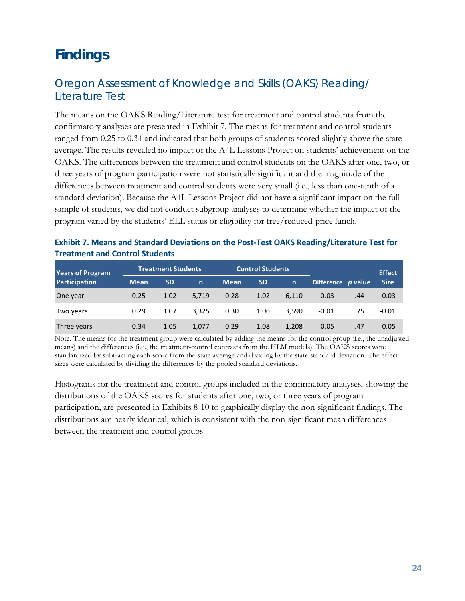## <span id="page-26-0"></span>**Findings**

### <span id="page-26-1"></span>Oregon Assessment of Knowledge and Skills (OAKS) Reading/ Literature Test

The means on the OAKS Reading/Literature test for treatment and control students from the confirmatory analyses are presented in Exhibit 7. The means for treatment and control students ranged from 0.25 to 0.34 and indicated that both groups of students scored slightly above the state average. The results revealed no impact of the A4L Lessons Project on students' achievement on the OAKS. The differences between the treatment and control students on the OAKS after one, two, or three years of program participation were not statistically significant and the magnitude of the differences between treatment and control students were very small (i.e., less than one-tenth of a standard deviation). Because the A4L Lessons Project did not have a significant impact on the full sample of students, we did not conduct subgroup analyses to determine whether the impact of the program varied by the students' ELL status or eligibility for free/reduced-price lunch.

| Exhibit 7. Means and Standard Deviations on the Post-Test OAKS Reading/Literature Test for |  |
|--------------------------------------------------------------------------------------------|--|
| <b>Treatment and Control Students</b>                                                      |  |

| <b>Years of Program</b> | <b>Control Students</b><br><b>Treatment Students</b> |           |              |             |           |       |                    | <b>Effect</b> |             |
|-------------------------|------------------------------------------------------|-----------|--------------|-------------|-----------|-------|--------------------|---------------|-------------|
| Participation           | <b>Mean</b>                                          | <b>SD</b> | $\mathsf{n}$ | <b>Mean</b> | <b>SD</b> | n     | Difference p value |               | <b>Size</b> |
| One year                | 0.25                                                 | 1.02      | 5.719        | 0.28        | 1.02      | 6.110 | $-0.03$            | .44           | $-0.03$     |
| Two years               | 0.29                                                 | 1.07      | 3.325        | 0.30        | 1.06      | 3,590 | $-0.01$            | .75           | $-0.01$     |
| Three years             | 0.34                                                 | 1.05      | 1.077        | 0.29        | 1.08      | 1,208 | 0.05               | .47           | 0.05        |

Note. The means for the treatment group were calculated by adding the means for the control group (i.e., the unadjusted means) and the differences (i.e., the treatment-control contrasts from the HLM models). The OAKS scores were standardized by subtracting each score from the state average and dividing by the state standard deviation. The effect sizes were calculated by dividing the differences by the pooled standard deviations.

Histograms for the treatment and control groups included in the confirmatory analyses, showing the distributions of the OAKS scores for students after one, two, or three years of program participation, are presented in Exhibits 8-10 to graphically display the non-significant findings. The distributions are nearly identical, which is consistent with the non-significant mean differences between the treatment and control groups.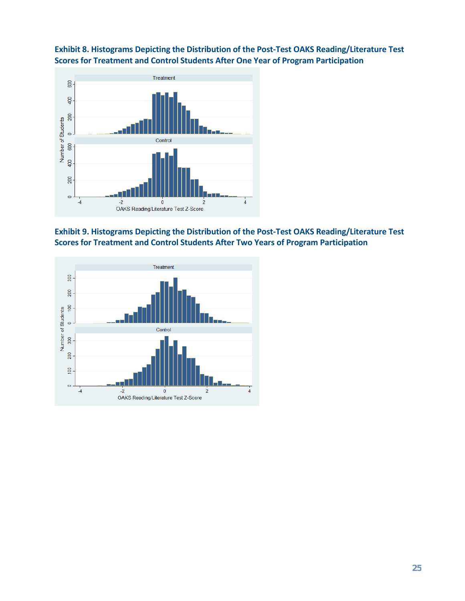





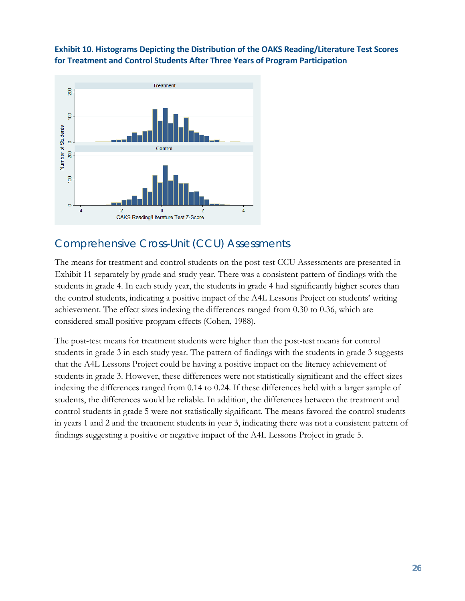### **Exhibit 10. Histograms Depicting the Distribution of the OAKS Reading/Literature Test Scores for Treatment and Control Students After Three Years of Program Participation**



### <span id="page-28-0"></span>Comprehensive Cross-Unit (CCU) Assessments

The means for treatment and control students on the post-test CCU Assessments are presented in Exhibit 11 separately by grade and study year. There was a consistent pattern of findings with the students in grade 4. In each study year, the students in grade 4 had significantly higher scores than the control students, indicating a positive impact of the A4L Lessons Project on students' writing achievement. The effect sizes indexing the differences ranged from 0.30 to 0.36, which are considered small positive program effects (Cohen, 1988).

The post-test means for treatment students were higher than the post-test means for control students in grade 3 in each study year. The pattern of findings with the students in grade 3 suggests that the A4L Lessons Project could be having a positive impact on the literacy achievement of students in grade 3. However, these differences were not statistically significant and the effect sizes indexing the differences ranged from 0.14 to 0.24. If these differences held with a larger sample of students, the differences would be reliable. In addition, the differences between the treatment and control students in grade 5 were not statistically significant. The means favored the control students in years 1 and 2 and the treatment students in year 3, indicating there was not a consistent pattern of findings suggesting a positive or negative impact of the A4L Lessons Project in grade 5.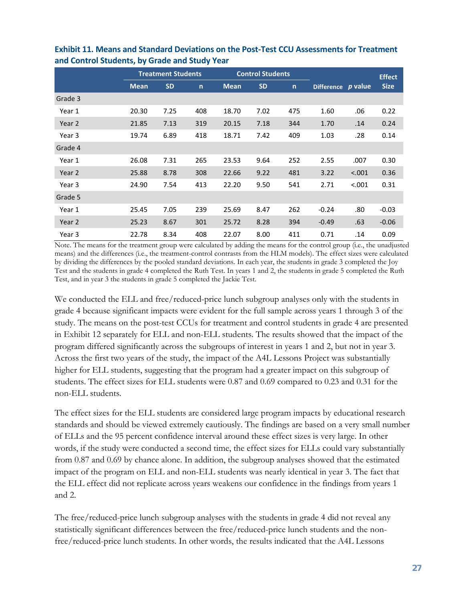|         |             | <b>Treatment Students</b> |              |             | <b>Control Students</b> |              |                   |         | <b>Effect</b> |
|---------|-------------|---------------------------|--------------|-------------|-------------------------|--------------|-------------------|---------|---------------|
|         | <b>Mean</b> | <b>SD</b>                 | $\mathsf{n}$ | <b>Mean</b> | <b>SD</b>               | $\mathsf{n}$ | <b>Difference</b> | p value | <b>Size</b>   |
| Grade 3 |             |                           |              |             |                         |              |                   |         |               |
| Year 1  | 20.30       | 7.25                      | 408          | 18.70       | 7.02                    | 475          | 1.60              | .06     | 0.22          |
| Year 2  | 21.85       | 7.13                      | 319          | 20.15       | 7.18                    | 344          | 1.70              | .14     | 0.24          |
| Year 3  | 19.74       | 6.89                      | 418          | 18.71       | 7.42                    | 409          | 1.03              | .28     | 0.14          |
| Grade 4 |             |                           |              |             |                         |              |                   |         |               |
| Year 1  | 26.08       | 7.31                      | 265          | 23.53       | 9.64                    | 252          | 2.55              | .007    | 0.30          |
| Year 2  | 25.88       | 8.78                      | 308          | 22.66       | 9.22                    | 481          | 3.22              | < .001  | 0.36          |
| Year 3  | 24.90       | 7.54                      | 413          | 22.20       | 9.50                    | 541          | 2.71              | < .001  | 0.31          |
| Grade 5 |             |                           |              |             |                         |              |                   |         |               |
| Year 1  | 25.45       | 7.05                      | 239          | 25.69       | 8.47                    | 262          | $-0.24$           | .80     | $-0.03$       |
| Year 2  | 25.23       | 8.67                      | 301          | 25.72       | 8.28                    | 394          | $-0.49$           | .63     | $-0.06$       |
| Year 3  | 22.78       | 8.34                      | 408          | 22.07       | 8.00                    | 411          | 0.71              | .14     | 0.09          |

**Exhibit 11. Means and Standard Deviations on the Post-Test CCU Assessments for Treatment and Control Students, by Grade and Study Year**

Note. The means for the treatment group were calculated by adding the means for the control group (i.e., the unadjusted means) and the differences (i.e., the treatment-control contrasts from the HLM models). The effect sizes were calculated by dividing the differences by the pooled standard deviations. In each year, the students in grade 3 completed the Joy Test and the students in grade 4 completed the Ruth Test. In years 1 and 2, the students in grade 5 completed the Ruth Test, and in year 3 the students in grade 5 completed the Jackie Test.

We conducted the ELL and free/reduced-price lunch subgroup analyses only with the students in grade 4 because significant impacts were evident for the full sample across years 1 through 3 of the study. The means on the post-test CCUs for treatment and control students in grade 4 are presented in Exhibit 12 separately for ELL and non-ELL students. The results showed that the impact of the program differed significantly across the subgroups of interest in years 1 and 2, but not in year 3. Across the first two years of the study, the impact of the A4L Lessons Project was substantially higher for ELL students, suggesting that the program had a greater impact on this subgroup of students. The effect sizes for ELL students were 0.87 and 0.69 compared to 0.23 and 0.31 for the non-ELL students.

The effect sizes for the ELL students are considered large program impacts by educational research standards and should be viewed extremely cautiously. The findings are based on a very small number of ELLs and the 95 percent confidence interval around these effect sizes is very large. In other words, if the study were conducted a second time, the effect sizes for ELLs could vary substantially from 0.87 and 0.69 by chance alone. In addition, the subgroup analyses showed that the estimated impact of the program on ELL and non-ELL students was nearly identical in year 3. The fact that the ELL effect did not replicate across years weakens our confidence in the findings from years 1 and 2.

The free/reduced-price lunch subgroup analyses with the students in grade 4 did not reveal any statistically significant differences between the free/reduced-price lunch students and the nonfree/reduced-price lunch students. In other words, the results indicated that the A4L Lessons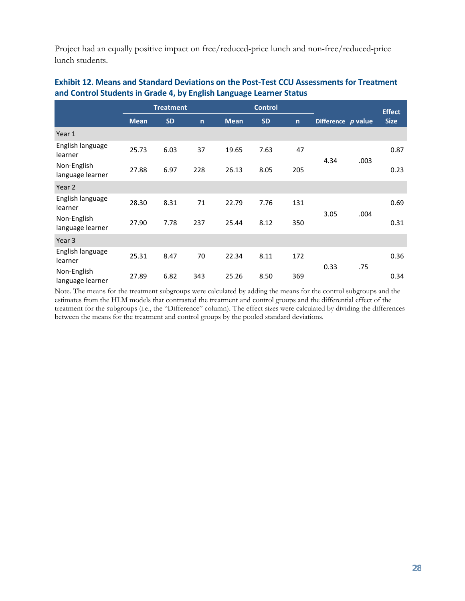Project had an equally positive impact on free/reduced-price lunch and non-free/reduced-price lunch students.

|                                 |             | <b>Treatment</b> |              |             | <b>Control</b> |              |                    | <b>Effect</b> |             |
|---------------------------------|-------------|------------------|--------------|-------------|----------------|--------------|--------------------|---------------|-------------|
|                                 | <b>Mean</b> | <b>SD</b>        | $\mathsf{n}$ | <b>Mean</b> | <b>SD</b>      | $\mathsf{n}$ | Difference p value |               | <b>Size</b> |
| Year 1                          |             |                  |              |             |                |              |                    |               |             |
| English language<br>learner     | 25.73       | 6.03             | 37           | 19.65       | 7.63           | 47           |                    |               | 0.87        |
| Non-English<br>language learner | 27.88       | 6.97             | 228          | 26.13       | 8.05           | 205          | 4.34               | .003          | 0.23        |
| Year 2                          |             |                  |              |             |                |              |                    |               |             |
| English language<br>learner     | 28.30       | 8.31             | 71           | 22.79       | 7.76           | 131          |                    |               | 0.69        |
| Non-English<br>language learner | 27.90       | 7.78             | 237          | 25.44       | 8.12           | 350          | 3.05               | .004          | 0.31        |
| Year 3                          |             |                  |              |             |                |              |                    |               |             |
| English language<br>learner     | 25.31       | 8.47             | 70           | 22.34       | 8.11           | 172          |                    |               | 0.36        |
| Non-English<br>language learner | 27.89       | 6.82             | 343          | 25.26       | 8.50           | 369          | 0.33               | .75           | 0.34        |

### **Exhibit 12. Means and Standard Deviations on the Post-Test CCU Assessments for Treatment and Control Students in Grade 4, by English Language Learner Status**

Note. The means for the treatment subgroups were calculated by adding the means for the control subgroups and the estimates from the HLM models that contrasted the treatment and control groups and the differential effect of the treatment for the subgroups (i.e., the "Difference" column). The effect sizes were calculated by dividing the differences between the means for the treatment and control groups by the pooled standard deviations.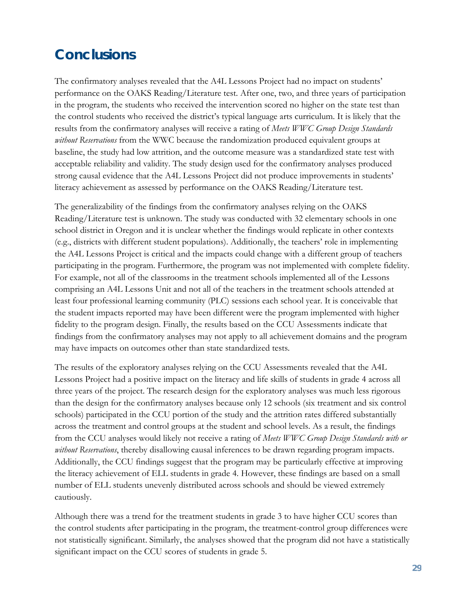## <span id="page-31-0"></span>**Conclusions**

The confirmatory analyses revealed that the A4L Lessons Project had no impact on students' performance on the OAKS Reading/Literature test. After one, two, and three years of participation in the program, the students who received the intervention scored no higher on the state test than the control students who received the district's typical language arts curriculum. It is likely that the results from the confirmatory analyses will receive a rating of *Meets WWC Group Design Standards without Reservations* from the WWC because the randomization produced equivalent groups at baseline, the study had low attrition, and the outcome measure was a standardized state test with acceptable reliability and validity. The study design used for the confirmatory analyses produced strong causal evidence that the A4L Lessons Project did not produce improvements in students' literacy achievement as assessed by performance on the OAKS Reading/Literature test.

The generalizability of the findings from the confirmatory analyses relying on the OAKS Reading/Literature test is unknown. The study was conducted with 32 elementary schools in one school district in Oregon and it is unclear whether the findings would replicate in other contexts (e.g., districts with different student populations). Additionally, the teachers' role in implementing the A4L Lessons Project is critical and the impacts could change with a different group of teachers participating in the program. Furthermore, the program was not implemented with complete fidelity. For example, not all of the classrooms in the treatment schools implemented all of the Lessons comprising an A4L Lessons Unit and not all of the teachers in the treatment schools attended at least four professional learning community (PLC) sessions each school year. It is conceivable that the student impacts reported may have been different were the program implemented with higher fidelity to the program design. Finally, the results based on the CCU Assessments indicate that findings from the confirmatory analyses may not apply to all achievement domains and the program may have impacts on outcomes other than state standardized tests.

The results of the exploratory analyses relying on the CCU Assessments revealed that the A4L Lessons Project had a positive impact on the literacy and life skills of students in grade 4 across all three years of the project. The research design for the exploratory analyses was much less rigorous than the design for the confirmatory analyses because only 12 schools (six treatment and six control schools) participated in the CCU portion of the study and the attrition rates differed substantially across the treatment and control groups at the student and school levels. As a result, the findings from the CCU analyses would likely not receive a rating of *Meets WWC Group Design Standards with or without Reservations*, thereby disallowing causal inferences to be drawn regarding program impacts. Additionally, the CCU findings suggest that the program may be particularly effective at improving the literacy achievement of ELL students in grade 4. However, these findings are based on a small number of ELL students unevenly distributed across schools and should be viewed extremely cautiously.

Although there was a trend for the treatment students in grade 3 to have higher CCU scores than the control students after participating in the program, the treatment-control group differences were not statistically significant. Similarly, the analyses showed that the program did not have a statistically significant impact on the CCU scores of students in grade 5.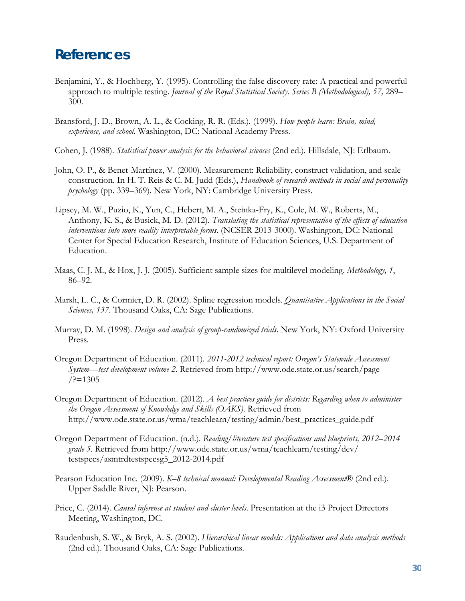### <span id="page-32-0"></span>**References**

- Benjamini, Y., & Hochberg, Y. (1995). Controlling the false discovery rate: A practical and powerful approach to multiple testing. *Journal of the Royal Statistical Society. Series B (Methodological), 57,* 289– 300.
- Bransford, J. D., Brown, A. L., & Cocking, R. R. (Eds.). (1999). *How people learn: Brain, mind, experience, and school*. Washington, DC: National Academy Press.
- Cohen, J. (1988). *Statistical power analysis for the behavioral sciences* (2nd ed.). Hillsdale, NJ: Erlbaum.
- John, O. P., & Benet-Martínez, V. (2000). Measurement: Reliability, construct validation, and scale construction. In H. T. Reis & C. M. Judd (Eds.), *Handbook of research methods in social and personality psychology* (pp. 339–369). New York, NY: Cambridge University Press.
- Lipsey, M. W., Puzio, K., Yun, C., Hebert, M. A., Steinka-Fry, K., Cole, M. W., Roberts, M., Anthony, K. S., & Busick, M. D. (2012). *Translating the statistical representation of the effects of education interventions into more readily interpretable forms*. (NCSER 2013-3000). Washington, DC: National Center for Special Education Research, Institute of Education Sciences, U.S. Department of Education.
- Maas, C. J. M., & Hox, J. J. (2005). Sufficient sample sizes for multilevel modeling. *Methodology, 1*, 86–92.
- Marsh, L. C., & Cormier, D. R. (2002). Spline regression models. *Quantitative Applications in the Social Sciences, 137.* Thousand Oaks, CA: Sage Publications.
- Murray, D. M. (1998). *Design and analysis of group-randomized trials*. New York, NY: Oxford University Press.
- Oregon Department of Education. (2011). *2011-2012 technical report: Oregon's Statewide Assessment System—test development volume 2*. Retrieved from http://www.ode.state.or.us/search/page  $/$ ?=1305
- Oregon Department of Education. (2012). *A best practices guide for districts: Regarding when to administer the Oregon Assessment of Knowledge and Skills (OAKS)*. Retrieved from http://www.ode.state.or.us/wma/teachlearn/testing/admin/best\_practices\_guide.pdf
- Oregon Department of Education. (n.d.). *Reading/literature test specifications and blueprints, 2012–2014 grade 5*. Retrieved from http://www.ode.state.or.us/wma/teachlearn/testing/dev/ testspecs/asmtrdtestspecsg5\_2012-2014.pdf
- Pearson Education Inc. (2009). *K–8 technical manual: Developmental Reading Assessment*® (2nd ed.). Upper Saddle River, NJ: Pearson.
- Price, C. (2014). *Causal inference at student and cluster levels*. Presentation at the i3 Project Directors Meeting, Washington, DC.
- Raudenbush, S. W., & Bryk, A. S. (2002). *Hierarchical linear models: Applications and data analysis methods* (2nd ed.). Thousand Oaks, CA: Sage Publications.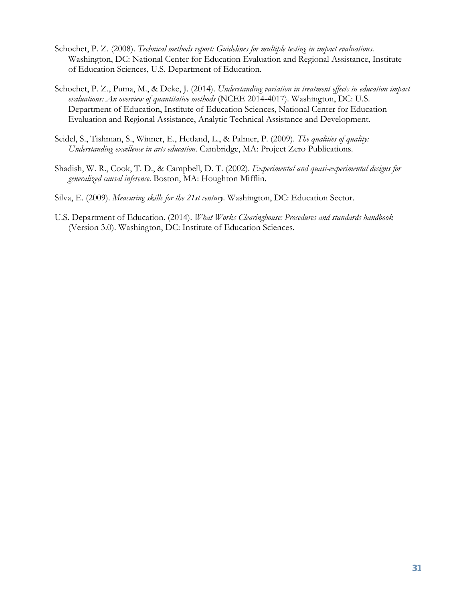- Schochet, P. Z. (2008). *Technical methods report: Guidelines for multiple testing in impact evaluations*. Washington, DC: National Center for Education Evaluation and Regional Assistance, Institute of Education Sciences, U.S. Department of Education.
- Schochet, P. Z., Puma, M., & Deke, J. (2014). *Understanding variation in treatment effects in education impact evaluations: An overview of quantitative methods* (NCEE 2014-4017). Washington, DC: U.S. Department of Education, Institute of Education Sciences, National Center for Education Evaluation and Regional Assistance, Analytic Technical Assistance and Development.
- Seidel, S., Tishman, S., Winner, E., Hetland, L., & Palmer, P. (2009). *The qualities of quality: Understanding excellence in arts education*. Cambridge, MA: Project Zero Publications.
- Shadish, W. R., Cook, T. D., & Campbell, D. T. (2002). *Experimental and quasi-experimental designs for generalized causal inference*. Boston, MA: Houghton Mifflin.
- Silva, E. (2009). *Measuring skills for the 21st century*. Washington, DC: Education Sector.
- U.S. Department of Education. (2014). *What Works Clearinghouse: Procedures and standards handbook* (Version 3.0). Washington, DC: Institute of Education Sciences.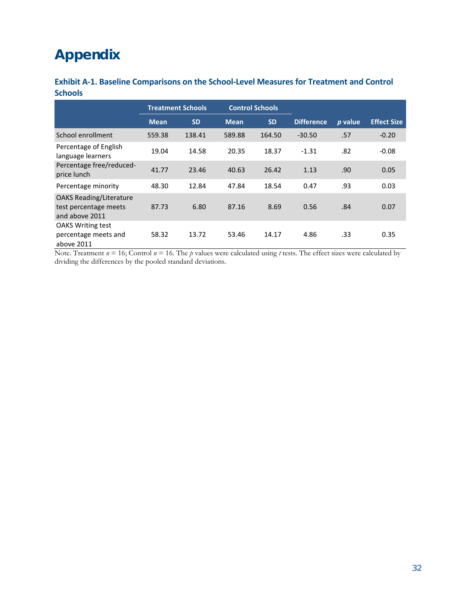## <span id="page-34-0"></span>**Appendix**

| Exhibit A-1. Baseline Comparisons on the School-Level Measures for Treatment and Control |  |
|------------------------------------------------------------------------------------------|--|
| <b>Schools</b>                                                                           |  |

|                                                                           |             | <b>Control Schools</b><br><b>Treatment Schools</b> |             |           |                   |         |                    |
|---------------------------------------------------------------------------|-------------|----------------------------------------------------|-------------|-----------|-------------------|---------|--------------------|
|                                                                           | <b>Mean</b> | <b>SD</b>                                          | <b>Mean</b> | <b>SD</b> | <b>Difference</b> | p value | <b>Effect Size</b> |
| School enrollment                                                         | 559.38      | 138.41                                             | 589.88      | 164.50    | $-30.50$          | .57     | $-0.20$            |
| Percentage of English<br>language learners                                | 19.04       | 14.58                                              | 20.35       | 18.37     | $-1.31$           | .82     | $-0.08$            |
| Percentage free/reduced-<br>price lunch                                   | 41.77       | 23.46                                              | 40.63       | 26.42     | 1.13              | .90     | 0.05               |
| Percentage minority                                                       | 48.30       | 12.84                                              | 47.84       | 18.54     | 0.47              | .93     | 0.03               |
| <b>OAKS Reading/Literature</b><br>test percentage meets<br>and above 2011 | 87.73       | 6.80                                               | 87.16       | 8.69      | 0.56              | .84     | 0.07               |
| <b>OAKS Writing test</b><br>percentage meets and<br>above 2011            | 58.32       | 13.72                                              | 53.46       | 14.17     | 4.86              | .33     | 0.35               |

Note. Treatment  $n = 16$ ; Control  $n = 16$ . The *p* values were calculated using *t* tests. The effect sizes were calculated by dividing the differences by the pooled standard deviations.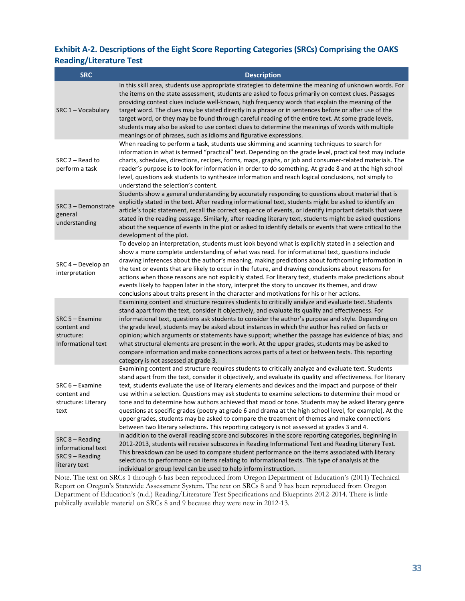#### **Exhibit A-2. Descriptions of the Eight Score Reporting Categories (SRCs) Comprising the OAKS Reading/Literature Test**

| <b>SRC</b>                                                                    | <b>Description</b>                                                                                                                                                                                                                                                                                                                                                                                                                                                                                                                                                                                                                                                                                                                                                                                                                                 |
|-------------------------------------------------------------------------------|----------------------------------------------------------------------------------------------------------------------------------------------------------------------------------------------------------------------------------------------------------------------------------------------------------------------------------------------------------------------------------------------------------------------------------------------------------------------------------------------------------------------------------------------------------------------------------------------------------------------------------------------------------------------------------------------------------------------------------------------------------------------------------------------------------------------------------------------------|
| SRC 1 - Vocabulary                                                            | In this skill area, students use appropriate strategies to determine the meaning of unknown words. For<br>the items on the state assessment, students are asked to focus primarily on context clues. Passages<br>providing context clues include well-known, high frequency words that explain the meaning of the<br>target word. The clues may be stated directly in a phrase or in sentences before or after use of the<br>target word, or they may be found through careful reading of the entire text. At some grade levels,<br>students may also be asked to use context clues to determine the meanings of words with multiple<br>meanings or of phrases, such as idioms and figurative expressions.                                                                                                                                         |
| SRC 2 - Read to<br>perform a task                                             | When reading to perform a task, students use skimming and scanning techniques to search for<br>information in what is termed "practical" text. Depending on the grade level, practical text may include<br>charts, schedules, directions, recipes, forms, maps, graphs, or job and consumer-related materials. The<br>reader's purpose is to look for information in order to do something. At grade 8 and at the high school<br>level, questions ask students to synthesize information and reach logical conclusions, not simply to<br>understand the selection's content.                                                                                                                                                                                                                                                                       |
| SRC 3 - Demonstrate<br>general<br>understanding                               | Students show a general understanding by accurately responding to questions about material that is<br>explicitly stated in the text. After reading informational text, students might be asked to identify an<br>article's topic statement, recall the correct sequence of events, or identify important details that were<br>stated in the reading passage. Similarly, after reading literary text, students might be asked questions<br>about the sequence of events in the plot or asked to identify details or events that were critical to the<br>development of the plot.                                                                                                                                                                                                                                                                    |
| SRC 4 - Develop an<br>interpretation                                          | To develop an interpretation, students must look beyond what is explicitly stated in a selection and<br>show a more complete understanding of what was read. For informational text, questions include<br>drawing inferences about the author's meaning, making predictions about forthcoming information in<br>the text or events that are likely to occur in the future, and drawing conclusions about reasons for<br>actions when those reasons are not explicitly stated. For literary text, students make predictions about<br>events likely to happen later in the story, interpret the story to uncover its themes, and draw<br>conclusions about traits present in the character and motivations for his or her actions.                                                                                                                   |
| $SRC 5 - Examine$<br>content and<br>structure:<br>Informational text          | Examining content and structure requires students to critically analyze and evaluate text. Students<br>stand apart from the text, consider it objectively, and evaluate its quality and effectiveness. For<br>informational text, questions ask students to consider the author's purpose and style. Depending on<br>the grade level, students may be asked about instances in which the author has relied on facts or<br>opinion; which arguments or statements have support; whether the passage has evidence of bias; and<br>what structural elements are present in the work. At the upper grades, students may be asked to<br>compare information and make connections across parts of a text or between texts. This reporting<br>category is not assessed at grade 3.                                                                        |
| $SRC 6 - Examine$<br>content and<br>structure: Literary<br>text               | Examining content and structure requires students to critically analyze and evaluate text. Students<br>stand apart from the text, consider it objectively, and evaluate its quality and effectiveness. For literary<br>text, students evaluate the use of literary elements and devices and the impact and purpose of their<br>use within a selection. Questions may ask students to examine selections to determine their mood or<br>tone and to determine how authors achieved that mood or tone. Students may be asked literary genre<br>questions at specific grades (poetry at grade 6 and drama at the high school level, for example). At the<br>upper grades, students may be asked to compare the treatment of themes and make connections<br>between two literary selections. This reporting category is not assessed at grades 3 and 4. |
| $SRC 8 - Reading$<br>informational text<br>$SRC 9 - Reading$<br>literary text | In addition to the overall reading score and subscores in the score reporting categories, beginning in<br>2012-2013, students will receive subscores in Reading Informational Text and Reading Literary Text.<br>This breakdown can be used to compare student performance on the items associated with literary<br>selections to performance on items relating to informational texts. This type of analysis at the<br>individual or group level can be used to help inform instruction.                                                                                                                                                                                                                                                                                                                                                          |

Note. The text on SRCs 1 through 6 has been reproduced from Oregon Department of Education's (2011) Technical Report on Oregon's Statewide Assessment System. The text on SRCs 8 and 9 has been reproduced from Oregon Department of Education's (n.d.) Reading/Literature Test Specifications and Blueprints 2012-2014. There is little publically available material on SRCs 8 and 9 because they were new in 2012-13.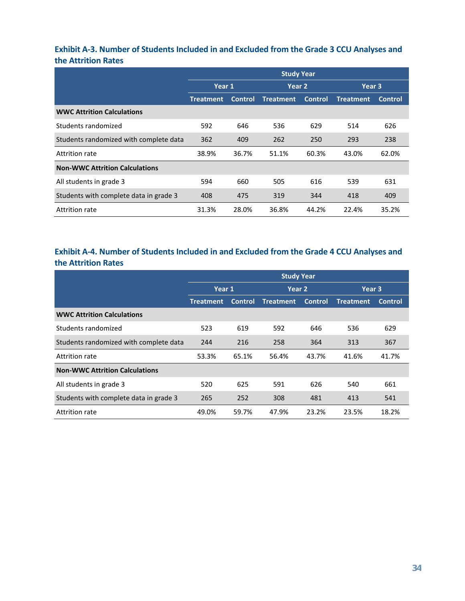### **Exhibit A-3. Number of Students Included in and Excluded from the Grade 3 CCU Analyses and the Attrition Rates**

|                                        | <b>Study Year</b> |                |                  |                |                  |                |  |  |
|----------------------------------------|-------------------|----------------|------------------|----------------|------------------|----------------|--|--|
|                                        | Year 1            |                | Year 2           |                | Year 3           |                |  |  |
|                                        | <b>Treatment</b>  | <b>Control</b> | <b>Treatment</b> | <b>Control</b> | <b>Treatment</b> | <b>Control</b> |  |  |
| <b>WWC Attrition Calculations</b>      |                   |                |                  |                |                  |                |  |  |
| Students randomized                    | 592               | 646            | 536              | 629            | 514              | 626            |  |  |
| Students randomized with complete data | 362               | 409            | 262              | 250            | 293              | 238            |  |  |
| Attrition rate                         | 38.9%             | 36.7%          | 51.1%            | 60.3%          | 43.0%            | 62.0%          |  |  |
| <b>Non-WWC Attrition Calculations</b>  |                   |                |                  |                |                  |                |  |  |
| All students in grade 3                | 594               | 660            | 505              | 616            | 539              | 631            |  |  |
| Students with complete data in grade 3 | 408               | 475            | 319              | 344            | 418              | 409            |  |  |
| Attrition rate                         | 31.3%             | 28.0%          | 36.8%            | 44.2%          | 22.4%            | 35.2%          |  |  |

### **Exhibit A-4. Number of Students Included in and Excluded from the Grade 4 CCU Analyses and the Attrition Rates**

|                                        | <b>Study Year</b> |                |                  |                |                  |                |  |  |
|----------------------------------------|-------------------|----------------|------------------|----------------|------------------|----------------|--|--|
|                                        | Year 1            |                | Year 2           |                | Year 3           |                |  |  |
|                                        | <b>Treatment</b>  | <b>Control</b> | <b>Treatment</b> | <b>Control</b> | <b>Treatment</b> | <b>Control</b> |  |  |
| <b>WWC Attrition Calculations</b>      |                   |                |                  |                |                  |                |  |  |
| Students randomized                    | 523               | 619            | 592              | 646            | 536              | 629            |  |  |
| Students randomized with complete data | 244               | 216            | 258              | 364            | 313              | 367            |  |  |
| <b>Attrition rate</b>                  | 53.3%             | 65.1%          | 56.4%            | 43.7%          | 41.6%            | 41.7%          |  |  |
| <b>Non-WWC Attrition Calculations</b>  |                   |                |                  |                |                  |                |  |  |
| All students in grade 3                | 520               | 625            | 591              | 626            | 540              | 661            |  |  |
| Students with complete data in grade 3 | 265               | 252            | 308              | 481            | 413              | 541            |  |  |
| Attrition rate                         | 49.0%             | 59.7%          | 47.9%            | 23.2%          | 23.5%            | 18.2%          |  |  |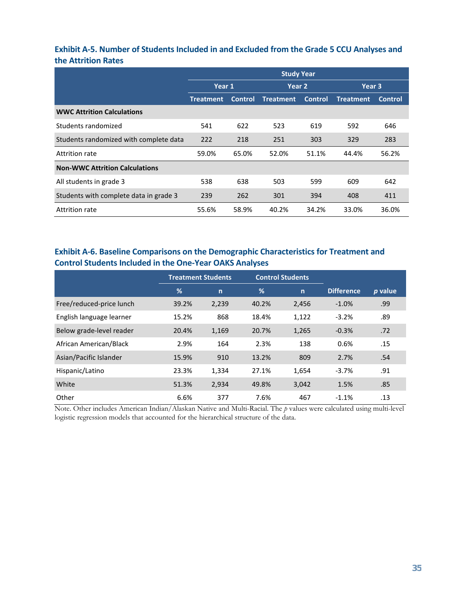#### **Exhibit A-5. Number of Students Included in and Excluded from the Grade 5 CCU Analyses and the Attrition Rates**

|                                        | <b>Study Year</b> |                |                  |                |                  |                |  |  |
|----------------------------------------|-------------------|----------------|------------------|----------------|------------------|----------------|--|--|
|                                        | Year 1            |                | Year 2           |                | Year 3           |                |  |  |
|                                        | Treatment         | <b>Control</b> | <b>Treatment</b> | <b>Control</b> | <b>Treatment</b> | <b>Control</b> |  |  |
| <b>WWC Attrition Calculations</b>      |                   |                |                  |                |                  |                |  |  |
| Students randomized                    | 541               | 622            | 523              | 619            | 592              | 646            |  |  |
| Students randomized with complete data | 222               | 218            | 251              | 303            | 329              | 283            |  |  |
| Attrition rate                         | 59.0%             | 65.0%          | 52.0%            | 51.1%          | 44.4%            | 56.2%          |  |  |
| <b>Non-WWC Attrition Calculations</b>  |                   |                |                  |                |                  |                |  |  |
| All students in grade 3                | 538               | 638            | 503              | 599            | 609              | 642            |  |  |
| Students with complete data in grade 3 | 239               | 262            | 301              | 394            | 408              | 411            |  |  |
| Attrition rate                         | 55.6%             | 58.9%          | 40.2%            | 34.2%          | 33.0%            | 36.0%          |  |  |

### **Exhibit A-6. Baseline Comparisons on the Demographic Characteristics for Treatment and Control Students Included in the One-Year OAKS Analyses**

|                          | <b>Treatment Students</b> |              |       | <b>Control Students</b> |                   |         |
|--------------------------|---------------------------|--------------|-------|-------------------------|-------------------|---------|
|                          | $\frac{9}{6}$             | $\mathsf{n}$ | %     | $\mathsf{n}$            | <b>Difference</b> | p value |
| Free/reduced-price lunch | 39.2%                     | 2,239        | 40.2% | 2,456                   | $-1.0%$           | .99     |
| English language learner | 15.2%                     | 868          | 18.4% | 1,122                   | $-3.2%$           | .89     |
| Below grade-level reader | 20.4%                     | 1,169        | 20.7% | 1,265                   | $-0.3%$           | .72     |
| African American/Black   | 2.9%                      | 164          | 2.3%  | 138                     | 0.6%              | .15     |
| Asian/Pacific Islander   | 15.9%                     | 910          | 13.2% | 809                     | 2.7%              | .54     |
| Hispanic/Latino          | 23.3%                     | 1,334        | 27.1% | 1,654                   | $-3.7%$           | .91     |
| White                    | 51.3%                     | 2,934        | 49.8% | 3,042                   | 1.5%              | .85     |
| Other                    | 6.6%                      | 377          | 7.6%  | 467                     | $-1.1%$           | .13     |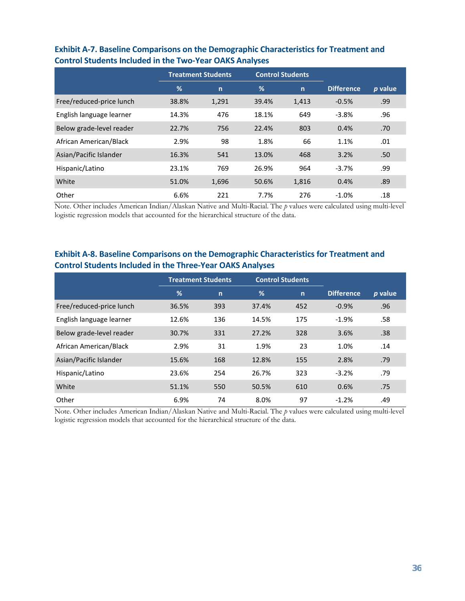|                          |       | <b>Control Students</b><br><b>Treatment Students</b> |       |             |                   |         |
|--------------------------|-------|------------------------------------------------------|-------|-------------|-------------------|---------|
|                          | %     | $\mathsf{n}$                                         | %     | $\mathbf n$ | <b>Difference</b> | p value |
| Free/reduced-price lunch | 38.8% | 1,291                                                | 39.4% | 1,413       | $-0.5%$           | .99     |
| English language learner | 14.3% | 476                                                  | 18.1% | 649         | $-3.8%$           | .96     |
| Below grade-level reader | 22.7% | 756                                                  | 22.4% | 803         | 0.4%              | .70     |
| African American/Black   | 2.9%  | 98                                                   | 1.8%  | 66          | 1.1%              | .01     |
| Asian/Pacific Islander   | 16.3% | 541                                                  | 13.0% | 468         | 3.2%              | .50     |
| Hispanic/Latino          | 23.1% | 769                                                  | 26.9% | 964         | $-3.7%$           | .99     |
| White                    | 51.0% | 1,696                                                | 50.6% | 1,816       | 0.4%              | .89     |
| Other                    | 6.6%  | 221                                                  | 7.7%  | 276         | $-1.0%$           | .18     |

### **Exhibit A-7. Baseline Comparisons on the Demographic Characteristics for Treatment and Control Students Included in the Two-Year OAKS Analyses**

Note. Other includes American Indian/Alaskan Native and Multi-Racial. The *p* values were calculated using multi-level logistic regression models that accounted for the hierarchical structure of the data.

### **Exhibit A-8. Baseline Comparisons on the Demographic Characteristics for Treatment and Control Students Included in the Three-Year OAKS Analyses**

|                          | <b>Control Students</b><br><b>Treatment Students</b> |              |       |              |                   |         |
|--------------------------|------------------------------------------------------|--------------|-------|--------------|-------------------|---------|
|                          | %                                                    | $\mathsf{n}$ | %     | $\mathsf{n}$ | <b>Difference</b> | p value |
| Free/reduced-price lunch | 36.5%                                                | 393          | 37.4% | 452          | $-0.9%$           | .96     |
| English language learner | 12.6%                                                | 136          | 14.5% | 175          | $-1.9%$           | .58     |
| Below grade-level reader | 30.7%                                                | 331          | 27.2% | 328          | 3.6%              | .38     |
| African American/Black   | 2.9%                                                 | 31           | 1.9%  | 23           | 1.0%              | .14     |
| Asian/Pacific Islander   | 15.6%                                                | 168          | 12.8% | 155          | 2.8%              | .79     |
| Hispanic/Latino          | 23.6%                                                | 254          | 26.7% | 323          | $-3.2%$           | .79     |
| White                    | 51.1%                                                | 550          | 50.5% | 610          | 0.6%              | .75     |
| Other                    | 6.9%                                                 | 74           | 8.0%  | 97           | $-1.2%$           | .49     |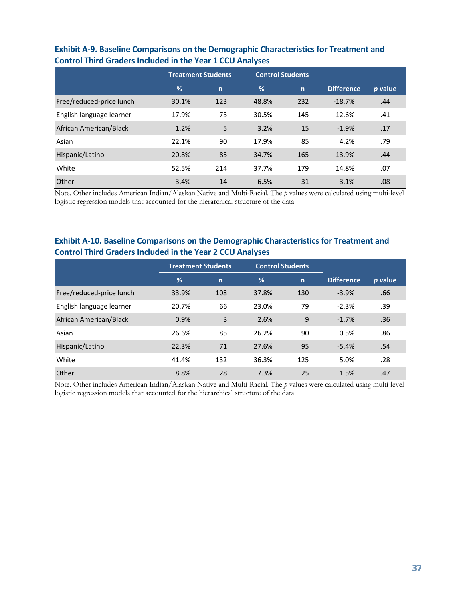|                          | <b>Treatment Students</b> |              | <b>Control Students</b> |              |                   |         |
|--------------------------|---------------------------|--------------|-------------------------|--------------|-------------------|---------|
|                          | $\frac{9}{6}$             | $\mathsf{n}$ | %                       | $\mathsf{n}$ | <b>Difference</b> | p value |
| Free/reduced-price lunch | 30.1%                     | 123          | 48.8%                   | 232          | $-18.7%$          | .44     |
| English language learner | 17.9%                     | 73           | 30.5%                   | 145          | $-12.6%$          | .41     |
| African American/Black   | 1.2%                      | 5            | 3.2%                    | 15           | $-1.9%$           | .17     |
| Asian                    | 22.1%                     | 90           | 17.9%                   | 85           | 4.2%              | .79     |
| Hispanic/Latino          | 20.8%                     | 85           | 34.7%                   | 165          | $-13.9%$          | .44     |
| White                    | 52.5%                     | 214          | 37.7%                   | 179          | 14.8%             | .07     |
| Other                    | 3.4%                      | 14           | 6.5%                    | 31           | $-3.1%$           | .08     |

#### **Exhibit A-9. Baseline Comparisons on the Demographic Characteristics for Treatment and Control Third Graders Included in the Year 1 CCU Analyses**

Note. Other includes American Indian/Alaskan Native and Multi-Racial. The *p* values were calculated using multi-level logistic regression models that accounted for the hierarchical structure of the data.

#### **Exhibit A-10. Baseline Comparisons on the Demographic Characteristics for Treatment and Control Third Graders Included in the Year 2 CCU Analyses**

|                          | <b>Treatment Students</b> |              | <b>Control Students</b> |              |                   |         |
|--------------------------|---------------------------|--------------|-------------------------|--------------|-------------------|---------|
|                          | %                         | $\mathsf{n}$ | %                       | $\mathsf{n}$ | <b>Difference</b> | p value |
| Free/reduced-price lunch | 33.9%                     | 108          | 37.8%                   | 130          | $-3.9%$           | .66     |
| English language learner | 20.7%                     | 66           | 23.0%                   | 79           | $-2.3%$           | .39     |
| African American/Black   | 0.9%                      | 3            | 2.6%                    | 9            | $-1.7%$           | .36     |
| Asian                    | 26.6%                     | 85           | 26.2%                   | 90           | 0.5%              | .86     |
| Hispanic/Latino          | 22.3%                     | 71           | 27.6%                   | 95           | $-5.4%$           | .54     |
| White                    | 41.4%                     | 132          | 36.3%                   | 125          | 5.0%              | .28     |
| Other                    | 8.8%                      | 28           | 7.3%                    | 25           | 1.5%              | .47     |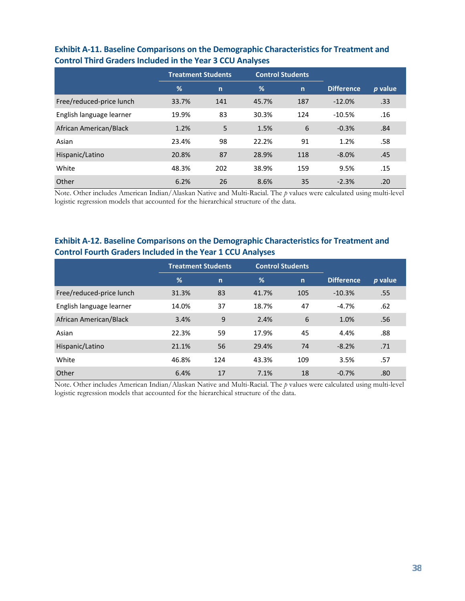|                          | <b>Treatment Students</b> |              | <b>Control Students</b> |              |                   |         |
|--------------------------|---------------------------|--------------|-------------------------|--------------|-------------------|---------|
|                          | $\frac{9}{6}$             | $\mathsf{n}$ | %                       | $\mathsf{n}$ | <b>Difference</b> | p value |
| Free/reduced-price lunch | 33.7%                     | 141          | 45.7%                   | 187          | $-12.0%$          | .33     |
| English language learner | 19.9%                     | 83           | 30.3%                   | 124          | $-10.5%$          | .16     |
| African American/Black   | 1.2%                      | 5            | 1.5%                    | 6            | $-0.3%$           | .84     |
| Asian                    | 23.4%                     | 98           | 22.2%                   | 91           | 1.2%              | .58     |
| Hispanic/Latino          | 20.8%                     | 87           | 28.9%                   | 118          | $-8.0%$           | .45     |
| White                    | 48.3%                     | 202          | 38.9%                   | 159          | 9.5%              | .15     |
| Other                    | 6.2%                      | 26           | 8.6%                    | 35           | $-2.3%$           | .20     |

#### **Exhibit A-11. Baseline Comparisons on the Demographic Characteristics for Treatment and Control Third Graders Included in the Year 3 CCU Analyses**

Note. Other includes American Indian/Alaskan Native and Multi-Racial. The *p* values were calculated using multi-level logistic regression models that accounted for the hierarchical structure of the data.

#### **Exhibit A-12. Baseline Comparisons on the Demographic Characteristics for Treatment and Control Fourth Graders Included in the Year 1 CCU Analyses**

|                          | <b>Treatment Students</b> |              | <b>Control Students</b> |              |                   |         |  |
|--------------------------|---------------------------|--------------|-------------------------|--------------|-------------------|---------|--|
|                          | %                         | $\mathsf{n}$ | %                       | $\mathsf{n}$ | <b>Difference</b> | p value |  |
| Free/reduced-price lunch | 31.3%                     | 83           | 41.7%                   | 105          | $-10.3%$          | .55     |  |
| English language learner | 14.0%                     | 37           | 18.7%                   | 47           | $-4.7%$           | .62     |  |
| African American/Black   | 3.4%                      | 9            | 2.4%                    | 6            | 1.0%              | .56     |  |
| Asian                    | 22.3%                     | 59           | 17.9%                   | 45           | 4.4%              | .88     |  |
| Hispanic/Latino          | 21.1%                     | 56           | 29.4%                   | 74           | $-8.2%$           | .71     |  |
| White                    | 46.8%                     | 124          | 43.3%                   | 109          | 3.5%              | .57     |  |
| Other                    | 6.4%                      | 17           | 7.1%                    | 18           | $-0.7%$           | .80     |  |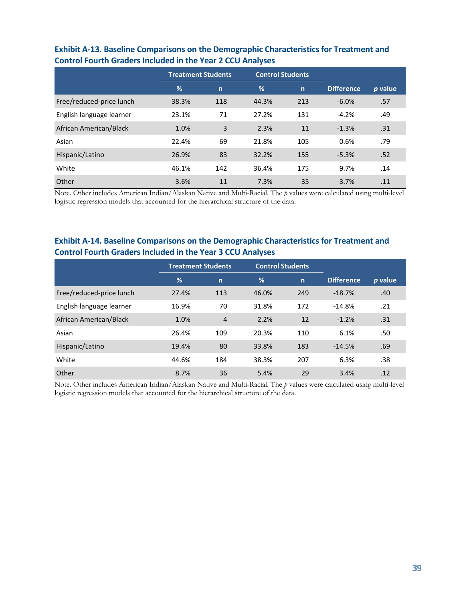|                          | <b>Treatment Students</b> |              | <b>Control Students</b> |              |                   |         |
|--------------------------|---------------------------|--------------|-------------------------|--------------|-------------------|---------|
|                          | %                         | $\mathsf{n}$ | %                       | $\mathsf{n}$ | <b>Difference</b> | p value |
| Free/reduced-price lunch | 38.3%                     | 118          | 44.3%                   | 213          | $-6.0%$           | .57     |
| English language learner | 23.1%                     | 71           | 27.2%                   | 131          | $-4.2%$           | .49     |
| African American/Black   | 1.0%                      | 3            | 2.3%                    | 11           | $-1.3%$           | .31     |
| Asian                    | 22.4%                     | 69           | 21.8%                   | 105          | 0.6%              | .79     |
| Hispanic/Latino          | 26.9%                     | 83           | 32.2%                   | 155          | $-5.3%$           | .52     |
| White                    | 46.1%                     | 142          | 36.4%                   | 175          | 9.7%              | .14     |
| Other                    | 3.6%                      | 11           | 7.3%                    | 35           | $-3.7%$           | .11     |

#### **Exhibit A-13. Baseline Comparisons on the Demographic Characteristics for Treatment and Control Fourth Graders Included in the Year 2 CCU Analyses**

Note. Other includes American Indian/Alaskan Native and Multi-Racial. The *p* values were calculated using multi-level logistic regression models that accounted for the hierarchical structure of the data.

#### **Exhibit A-14. Baseline Comparisons on the Demographic Characteristics for Treatment and Control Fourth Graders Included in the Year 3 CCU Analyses**

|                          | <b>Treatment Students</b> |                | <b>Control Students</b> |              |                   |         |  |
|--------------------------|---------------------------|----------------|-------------------------|--------------|-------------------|---------|--|
|                          | %                         | $\mathsf{n}$   | %                       | $\mathsf{n}$ | <b>Difference</b> | p value |  |
| Free/reduced-price lunch | 27.4%                     | 113            | 46.0%                   | 249          | $-18.7%$          | .40     |  |
| English language learner | 16.9%                     | 70             | 31.8%                   | 172          | $-14.8%$          | .21     |  |
| African American/Black   | 1.0%                      | $\overline{4}$ | 2.2%                    | 12           | $-1.2%$           | .31     |  |
| Asian                    | 26.4%                     | 109            | 20.3%                   | 110          | 6.1%              | .50     |  |
| Hispanic/Latino          | 19.4%                     | 80             | 33.8%                   | 183          | $-14.5%$          | .69     |  |
| White                    | 44.6%                     | 184            | 38.3%                   | 207          | 6.3%              | .38     |  |
| Other                    | 8.7%                      | 36             | 5.4%                    | 29           | 3.4%              | .12     |  |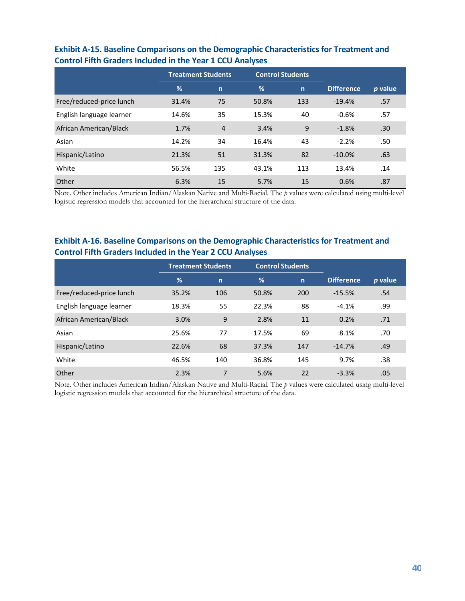|                          | <b>Treatment Students</b> |                | <b>Control Students</b> |              |                   |         |
|--------------------------|---------------------------|----------------|-------------------------|--------------|-------------------|---------|
|                          | %                         | $\mathsf{n}$   | %                       | $\mathsf{n}$ | <b>Difference</b> | p value |
| Free/reduced-price lunch | 31.4%                     | 75             | 50.8%                   | 133          | $-19.4%$          | .57     |
| English language learner | 14.6%                     | 35             | 15.3%                   | 40           | $-0.6%$           | .57     |
| African American/Black   | 1.7%                      | $\overline{4}$ | 3.4%                    | 9            | $-1.8%$           | .30     |
| Asian                    | 14.2%                     | 34             | 16.4%                   | 43           | $-2.2%$           | .50     |
| Hispanic/Latino          | 21.3%                     | 51             | 31.3%                   | 82           | $-10.0%$          | .63     |
| White                    | 56.5%                     | 135            | 43.1%                   | 113          | 13.4%             | .14     |
| Other                    | 6.3%                      | 15             | 5.7%                    | 15           | 0.6%              | .87     |

#### **Exhibit A-15. Baseline Comparisons on the Demographic Characteristics for Treatment and Control Fifth Graders Included in the Year 1 CCU Analyses**

Note. Other includes American Indian/Alaskan Native and Multi-Racial. The *p* values were calculated using multi-level logistic regression models that accounted for the hierarchical structure of the data.

#### **Exhibit A-16. Baseline Comparisons on the Demographic Characteristics for Treatment and Control Fifth Graders Included in the Year 2 CCU Analyses**

|                          | <b>Treatment Students</b> |              | <b>Control Students</b> |              |                   |         |
|--------------------------|---------------------------|--------------|-------------------------|--------------|-------------------|---------|
|                          | %                         | $\mathsf{n}$ | %                       | $\mathsf{n}$ | <b>Difference</b> | p value |
| Free/reduced-price lunch | 35.2%                     | 106          | 50.8%                   | 200          | $-15.5%$          | .54     |
| English language learner | 18.3%                     | 55           | 22.3%                   | 88           | $-4.1%$           | .99     |
| African American/Black   | 3.0%                      | 9            | 2.8%                    | 11           | 0.2%              | .71     |
| Asian                    | 25.6%                     | 77           | 17.5%                   | 69           | 8.1%              | .70     |
| Hispanic/Latino          | 22.6%                     | 68           | 37.3%                   | 147          | $-14.7%$          | .49     |
| White                    | 46.5%                     | 140          | 36.8%                   | 145          | 9.7%              | .38     |
| Other                    | 2.3%                      | 7            | 5.6%                    | 22           | $-3.3%$           | .05     |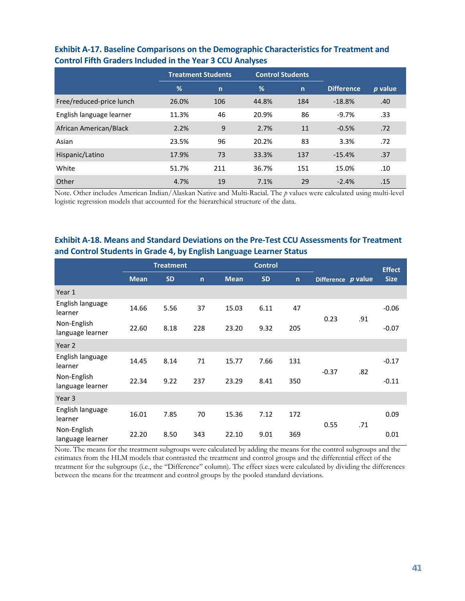|                          | <b>Treatment Students</b> |              | <b>Control Students</b> |              |                   |         |
|--------------------------|---------------------------|--------------|-------------------------|--------------|-------------------|---------|
|                          | %                         | $\mathsf{n}$ | %                       | $\mathsf{n}$ | <b>Difference</b> | p value |
| Free/reduced-price lunch | 26.0%                     | 106          | 44.8%                   | 184          | $-18.8%$          | .40     |
| English language learner | 11.3%                     | 46           | 20.9%                   | 86           | $-9.7%$           | .33     |
| African American/Black   | 2.2%                      | 9            | 2.7%                    | 11           | $-0.5%$           | .72     |
| Asian                    | 23.5%                     | 96           | 20.2%                   | 83           | 3.3%              | .72     |
| Hispanic/Latino          | 17.9%                     | 73           | 33.3%                   | 137          | $-15.4%$          | .37     |
| White                    | 51.7%                     | 211          | 36.7%                   | 151          | 15.0%             | .10     |
| Other                    | 4.7%                      | 19           | 7.1%                    | 29           | $-2.4%$           | .15     |

#### **Exhibit A-17. Baseline Comparisons on the Demographic Characteristics for Treatment and Control Fifth Graders Included in the Year 3 CCU Analyses**

Note. Other includes American Indian/Alaskan Native and Multi-Racial. The *p* values were calculated using multi-level logistic regression models that accounted for the hierarchical structure of the data.

#### **Exhibit A-18. Means and Standard Deviations on the Pre-Test CCU Assessments for Treatment and Control Students in Grade 4, by English Language Learner Status**

|                                 |             | <b>Treatment</b> |              | <b>Control</b> |           |              |                    |     |             |  | <b>Effect</b> |
|---------------------------------|-------------|------------------|--------------|----------------|-----------|--------------|--------------------|-----|-------------|--|---------------|
|                                 | <b>Mean</b> | <b>SD</b>        | $\mathsf{n}$ | <b>Mean</b>    | <b>SD</b> | $\mathsf{n}$ | Difference p value |     | <b>Size</b> |  |               |
| Year 1                          |             |                  |              |                |           |              |                    |     |             |  |               |
| English language<br>learner     | 14.66       | 5.56             | 37           | 15.03          | 6.11      | 47           |                    |     | $-0.06$     |  |               |
| Non-English<br>language learner | 22.60       | 8.18             | 228          | 23.20          | 9.32      | 205          | 0.23               | .91 | $-0.07$     |  |               |
| Year 2                          |             |                  |              |                |           |              |                    |     |             |  |               |
| English language<br>learner     | 14.45       | 8.14             | 71           | 15.77          | 7.66      | 131          |                    |     | $-0.17$     |  |               |
| Non-English<br>language learner | 22.34       | 9.22             | 237          | 23.29          | 8.41      | 350          | $-0.37$            | .82 | $-0.11$     |  |               |
| Year 3                          |             |                  |              |                |           |              |                    |     |             |  |               |
| English language<br>learner     | 16.01       | 7.85             | 70           | 15.36          | 7.12      | 172          |                    |     | 0.09        |  |               |
| Non-English<br>language learner | 22.20       | 8.50             | 343          | 22.10          | 9.01      | 369          | 0.55               | .71 | 0.01        |  |               |

Note. The means for the treatment subgroups were calculated by adding the means for the control subgroups and the estimates from the HLM models that contrasted the treatment and control groups and the differential effect of the treatment for the subgroups (i.e., the "Difference" column). The effect sizes were calculated by dividing the differences between the means for the treatment and control groups by the pooled standard deviations.